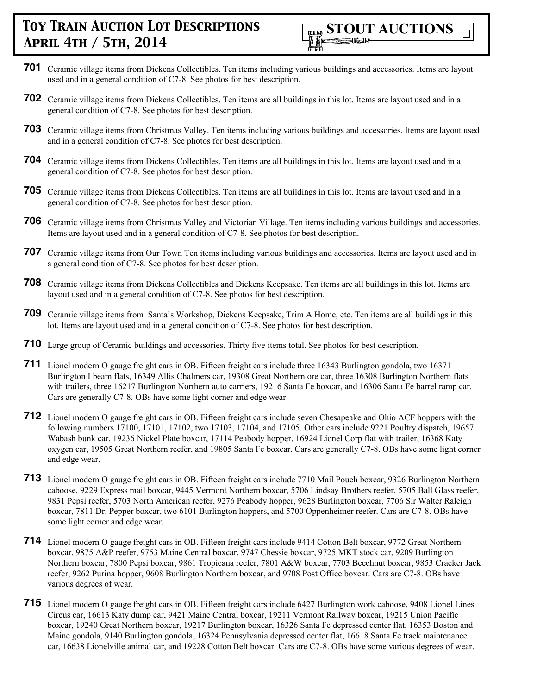

- **701** Ceramic village items from Dickens Collectibles. Ten items including various buildings and accessories. Items are layout used and in a general condition of C7-8. See photos for best description.
- **702** Ceramic village items from Dickens Collectibles. Ten items are all buildings in this lot. Items are layout used and in a general condition of C7-8. See photos for best description.
- **703** Ceramic village items from Christmas Valley. Ten items including various buildings and accessories. Items are layout used and in a general condition of C7-8. See photos for best description.
- **704** Ceramic village items from Dickens Collectibles. Ten items are all buildings in this lot. Items are layout used and in a general condition of C7-8. See photos for best description.
- **705** Ceramic village items from Dickens Collectibles. Ten items are all buildings in this lot. Items are layout used and in a general condition of C7-8. See photos for best description.
- **706** Ceramic village items from Christmas Valley and Victorian Village. Ten items including various buildings and accessories. Items are layout used and in a general condition of C7-8. See photos for best description.
- **707** Ceramic village items from Our Town Ten items including various buildings and accessories. Items are layout used and in a general condition of C7-8. See photos for best description.
- **708** Ceramic village items from Dickens Collectibles and Dickens Keepsake. Ten items are all buildings in this lot. Items are layout used and in a general condition of C7-8. See photos for best description.
- **709** Ceramic village items from Santa's Workshop, Dickens Keepsake, Trim A Home, etc. Ten items are all buildings in this lot. Items are layout used and in a general condition of C7-8. See photos for best description.
- **710** Large group of Ceramic buildings and accessories. Thirty five items total. See photos for best description.
- **711** Lionel modern O gauge freight cars in OB. Fifteen freight cars include three 16343 Burlington gondola, two 16371 Burlington I beam flats, 16349 Allis Chalmers car, 19308 Great Northern ore car, three 16308 Burlington Northern flats with trailers, three 16217 Burlington Northern auto carriers, 19216 Santa Fe boxcar, and 16306 Santa Fe barrel ramp car. Cars are generally C7-8. OBs have some light corner and edge wear.
- **712** Lionel modern O gauge freight cars in OB. Fifteen freight cars include seven Chesapeake and Ohio ACF hoppers with the following numbers 17100, 17101, 17102, two 17103, 17104, and 17105. Other cars include 9221 Poultry dispatch, 19657 Wabash bunk car, 19236 Nickel Plate boxcar, 17114 Peabody hopper, 16924 Lionel Corp flat with trailer, 16368 Katy oxygen car, 19505 Great Northern reefer, and 19805 Santa Fe boxcar. Cars are generally C7-8. OBs have some light corner and edge wear.
- **713** Lionel modern O gauge freight cars in OB. Fifteen freight cars include 7710 Mail Pouch boxcar, 9326 Burlington Northern caboose, 9229 Express mail boxcar, 9445 Vermont Northern boxcar, 5706 Lindsay Brothers reefer, 5705 Ball Glass reefer, 9831 Pepsi reefer, 5703 North American reefer, 9276 Peabody hopper, 9628 Burlington boxcar, 7706 Sir Walter Raleigh boxcar, 7811 Dr. Pepper boxcar, two 6101 Burlington hoppers, and 5700 Oppenheimer reefer. Cars are C7-8. OBs have some light corner and edge wear.
- **714** Lionel modern O gauge freight cars in OB. Fifteen freight cars include 9414 Cotton Belt boxcar, 9772 Great Northern boxcar, 9875 A&P reefer, 9753 Maine Central boxcar, 9747 Chessie boxcar, 9725 MKT stock car, 9209 Burlington Northern boxcar, 7800 Pepsi boxcar, 9861 Tropicana reefer, 7801 A&W boxcar, 7703 Beechnut boxcar, 9853 Cracker Jack reefer, 9262 Purina hopper, 9608 Burlington Northern boxcar, and 9708 Post Office boxcar. Cars are C7-8. OBs have various degrees of wear.
- **715** Lionel modern O gauge freight cars in OB. Fifteen freight cars include 6427 Burlington work caboose, 9408 Lionel Lines Circus car, 16613 Katy dump car, 9421 Maine Central boxcar, 19211 Vermont Railway boxcar, 19215 Union Pacific boxcar, 19240 Great Northern boxcar, 19217 Burlington boxcar, 16326 Santa Fe depressed center flat, 16353 Boston and Maine gondola, 9140 Burlington gondola, 16324 Pennsylvania depressed center flat, 16618 Santa Fe track maintenance car, 16638 Lionelville animal car, and 19228 Cotton Belt boxcar. Cars are C7-8. OBs have some various degrees of wear.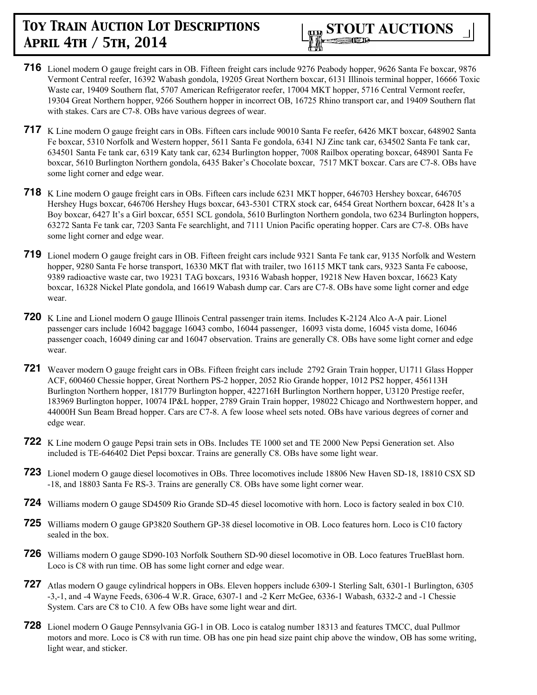- **716** Lionel modern O gauge freight cars in OB. Fifteen freight cars include 9276 Peabody hopper, 9626 Santa Fe boxcar, 9876 Vermont Central reefer, 16392 Wabash gondola, 19205 Great Northern boxcar, 6131 Illinois terminal hopper, 16666 Toxic Waste car, 19409 Southern flat, 5707 American Refrigerator reefer, 17004 MKT hopper, 5716 Central Vermont reefer, 19304 Great Northern hopper, 9266 Southern hopper in incorrect OB, 16725 Rhino transport car, and 19409 Southern flat with stakes. Cars are C7-8. OBs have various degrees of wear.
- **717** K Line modern O gauge freight cars in OBs. Fifteen cars include 90010 Santa Fe reefer, 6426 MKT boxcar, 648902 Santa Fe boxcar, 5310 Norfolk and Western hopper, 5611 Santa Fe gondola, 6341 NJ Zinc tank car, 634502 Santa Fe tank car, 634501 Santa Fe tank car, 6319 Katy tank car, 6234 Burlington hopper, 7008 Railbox operating boxcar, 648901 Santa Fe boxcar, 5610 Burlington Northern gondola, 6435 Baker's Chocolate boxcar, 7517 MKT boxcar. Cars are C7-8. OBs have some light corner and edge wear.
- **718** K Line modern O gauge freight cars in OBs. Fifteen cars include 6231 MKT hopper, 646703 Hershey boxcar, 646705 Hershey Hugs boxcar, 646706 Hershey Hugs boxcar, 643-5301 CTRX stock car, 6454 Great Northern boxcar, 6428 It's a Boy boxcar, 6427 It's a Girl boxcar, 6551 SCL gondola, 5610 Burlington Northern gondola, two 6234 Burlington hoppers, 63272 Santa Fe tank car, 7203 Santa Fe searchlight, and 7111 Union Pacific operating hopper. Cars are C7-8. OBs have some light corner and edge wear.
- **719** Lionel modern O gauge freight cars in OB. Fifteen freight cars include 9321 Santa Fe tank car, 9135 Norfolk and Western hopper, 9280 Santa Fe horse transport, 16330 MKT flat with trailer, two 16115 MKT tank cars, 9323 Santa Fe caboose, 9389 radioactive waste car, two 19231 TAG boxcars, 19316 Wabash hopper, 19218 New Haven boxcar, 16623 Katy boxcar, 16328 Nickel Plate gondola, and 16619 Wabash dump car. Cars are C7-8. OBs have some light corner and edge wear.
- **720** K Line and Lionel modern O gauge Illinois Central passenger train items. Includes K-2124 Alco A-A pair. Lionel passenger cars include 16042 baggage 16043 combo, 16044 passenger, 16093 vista dome, 16045 vista dome, 16046 passenger coach, 16049 dining car and 16047 observation. Trains are generally C8. OBs have some light corner and edge wear.
- **721** Weaver modern O gauge freight cars in OBs. Fifteen freight cars include 2792 Grain Train hopper, U1711 Glass Hopper ACF, 600460 Chessie hopper, Great Northern PS-2 hopper, 2052 Rio Grande hopper, 1012 PS2 hopper, 456113H Burlington Northern hopper, 181779 Burlington hopper, 422716H Burlington Northern hopper, U3120 Prestige reefer, 183969 Burlington hopper, 10074 IP&L hopper, 2789 Grain Train hopper, 198022 Chicago and Northwestern hopper, and 44000H Sun Beam Bread hopper. Cars are C7-8. A few loose wheel sets noted. OBs have various degrees of corner and edge wear.
- **722** K Line modern O gauge Pepsi train sets in OBs. Includes TE 1000 set and TE 2000 New Pepsi Generation set. Also included is TE-646402 Diet Pepsi boxcar. Trains are generally C8. OBs have some light wear.
- **723** Lionel modern O gauge diesel locomotives in OBs. Three locomotives include 18806 New Haven SD-18, 18810 CSX SD -18, and 18803 Santa Fe RS-3. Trains are generally C8. OBs have some light corner wear.
- **724** Williams modern O gauge SD4509 Rio Grande SD-45 diesel locomotive with horn. Loco is factory sealed in box C10.
- **725** Williams modern O gauge GP3820 Southern GP-38 diesel locomotive in OB. Loco features horn. Loco is C10 factory sealed in the box.
- **726** Williams modern O gauge SD90-103 Norfolk Southern SD-90 diesel locomotive in OB. Loco features TrueBlast horn. Loco is C8 with run time. OB has some light corner and edge wear.
- **727** Atlas modern O gauge cylindrical hoppers in OBs. Eleven hoppers include 6309-1 Sterling Salt, 6301-1 Burlington, 6305 -3,-1, and -4 Wayne Feeds, 6306-4 W.R. Grace, 6307-1 and -2 Kerr McGee, 6336-1 Wabash, 6332-2 and -1 Chessie System. Cars are C8 to C10. A few OBs have some light wear and dirt.
- **728** Lionel modern O Gauge Pennsylvania GG-1 in OB. Loco is catalog number 18313 and features TMCC, dual Pullmor motors and more. Loco is C8 with run time. OB has one pin head size paint chip above the window, OB has some writing, light wear, and sticker.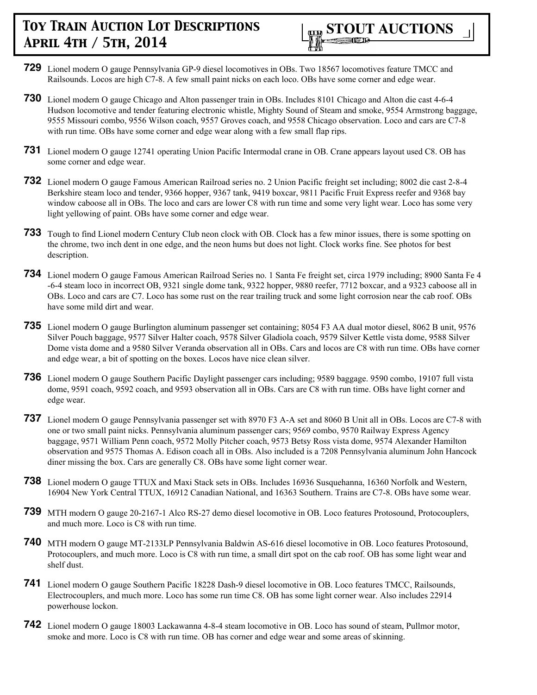

- **729** Lionel modern O gauge Pennsylvania GP-9 diesel locomotives in OBs. Two 18567 locomotives feature TMCC and Railsounds. Locos are high C7-8. A few small paint nicks on each loco. OBs have some corner and edge wear.
- **730** Lionel modern O gauge Chicago and Alton passenger train in OBs. Includes 8101 Chicago and Alton die cast 4-6-4 Hudson locomotive and tender featuring electronic whistle, Mighty Sound of Steam and smoke, 9554 Armstrong baggage, 9555 Missouri combo, 9556 Wilson coach, 9557 Groves coach, and 9558 Chicago observation. Loco and cars are C7-8 with run time. OBs have some corner and edge wear along with a few small flap rips.
- **731** Lionel modern O gauge 12741 operating Union Pacific Intermodal crane in OB. Crane appears layout used C8. OB has some corner and edge wear.
- **732** Lionel modern O gauge Famous American Railroad series no. 2 Union Pacific freight set including; 8002 die cast 2-8-4 Berkshire steam loco and tender, 9366 hopper, 9367 tank, 9419 boxcar, 9811 Pacific Fruit Express reefer and 9368 bay window caboose all in OBs. The loco and cars are lower C8 with run time and some very light wear. Loco has some very light yellowing of paint. OBs have some corner and edge wear.
- **733** Tough to find Lionel modern Century Club neon clock with OB. Clock has a few minor issues, there is some spotting on the chrome, two inch dent in one edge, and the neon hums but does not light. Clock works fine. See photos for best description.
- **734** Lionel modern O gauge Famous American Railroad Series no. 1 Santa Fe freight set, circa 1979 including; 8900 Santa Fe 4 -6-4 steam loco in incorrect OB, 9321 single dome tank, 9322 hopper, 9880 reefer, 7712 boxcar, and a 9323 caboose all in OBs. Loco and cars are C7. Loco has some rust on the rear trailing truck and some light corrosion near the cab roof. OBs have some mild dirt and wear.
- **735** Lionel modern O gauge Burlington aluminum passenger set containing; 8054 F3 AA dual motor diesel, 8062 B unit, 9576 Silver Pouch baggage, 9577 Silver Halter coach, 9578 Silver Gladiola coach, 9579 Silver Kettle vista dome, 9588 Silver Dome vista dome and a 9580 Silver Veranda observation all in OBs. Cars and locos are C8 with run time. OBs have corner and edge wear, a bit of spotting on the boxes. Locos have nice clean silver.
- **736** Lionel modern O gauge Southern Pacific Daylight passenger cars including; 9589 baggage. 9590 combo, 19107 full vista dome, 9591 coach, 9592 coach, and 9593 observation all in OBs. Cars are C8 with run time. OBs have light corner and edge wear.
- **737** Lionel modern O gauge Pennsylvania passenger set with 8970 F3 A-A set and 8060 B Unit all in OBs. Locos are C7-8 with one or two small paint nicks. Pennsylvania aluminum passenger cars; 9569 combo, 9570 Railway Express Agency baggage, 9571 William Penn coach, 9572 Molly Pitcher coach, 9573 Betsy Ross vista dome, 9574 Alexander Hamilton observation and 9575 Thomas A. Edison coach all in OBs. Also included is a 7208 Pennsylvania aluminum John Hancock diner missing the box. Cars are generally C8. OBs have some light corner wear.
- **738** Lionel modern O gauge TTUX and Maxi Stack sets in OBs. Includes 16936 Susquehanna, 16360 Norfolk and Western, 16904 New York Central TTUX, 16912 Canadian National, and 16363 Southern. Trains are C7-8. OBs have some wear.
- **739** MTH modern O gauge 20-2167-1 Alco RS-27 demo diesel locomotive in OB. Loco features Protosound, Protocouplers, and much more. Loco is C8 with run time.
- **740** MTH modern O gauge MT-2133LP Pennsylvania Baldwin AS-616 diesel locomotive in OB. Loco features Protosound, Protocouplers, and much more. Loco is C8 with run time, a small dirt spot on the cab roof. OB has some light wear and shelf dust.
- **741** Lionel modern O gauge Southern Pacific 18228 Dash-9 diesel locomotive in OB. Loco features TMCC, Railsounds, Electrocouplers, and much more. Loco has some run time C8. OB has some light corner wear. Also includes 22914 powerhouse lockon.
- **742** Lionel modern O gauge 18003 Lackawanna 4-8-4 steam locomotive in OB. Loco has sound of steam, Pullmor motor, smoke and more. Loco is C8 with run time. OB has corner and edge wear and some areas of skinning.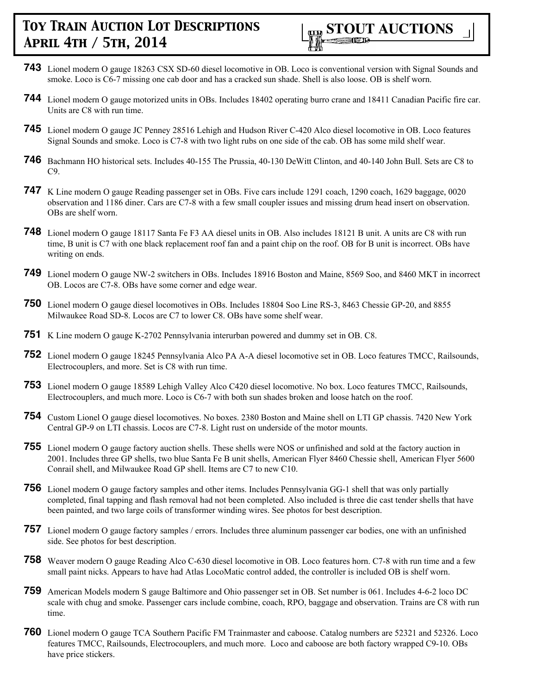

- **743** Lionel modern O gauge 18263 CSX SD-60 diesel locomotive in OB. Loco is conventional version with Signal Sounds and smoke. Loco is C6-7 missing one cab door and has a cracked sun shade. Shell is also loose. OB is shelf worn.
- **744** Lionel modern O gauge motorized units in OBs. Includes 18402 operating burro crane and 18411 Canadian Pacific fire car. Units are C8 with run time.
- **745** Lionel modern O gauge JC Penney 28516 Lehigh and Hudson River C-420 Alco diesel locomotive in OB. Loco features Signal Sounds and smoke. Loco is C7-8 with two light rubs on one side of the cab. OB has some mild shelf wear.
- **746** Bachmann HO historical sets. Includes 40-155 The Prussia, 40-130 DeWitt Clinton, and 40-140 John Bull. Sets are C8 to  $C9$
- **747** K Line modern O gauge Reading passenger set in OBs. Five cars include 1291 coach, 1290 coach, 1629 baggage, 0020 observation and 1186 diner. Cars are C7-8 with a few small coupler issues and missing drum head insert on observation. OBs are shelf worn.
- **748** Lionel modern O gauge 18117 Santa Fe F3 AA diesel units in OB. Also includes 18121 B unit. A units are C8 with run time, B unit is C7 with one black replacement roof fan and a paint chip on the roof. OB for B unit is incorrect. OBs have writing on ends.
- **749** Lionel modern O gauge NW-2 switchers in OBs. Includes 18916 Boston and Maine, 8569 Soo, and 8460 MKT in incorrect OB. Locos are C7-8. OBs have some corner and edge wear.
- **750** Lionel modern O gauge diesel locomotives in OBs. Includes 18804 Soo Line RS-3, 8463 Chessie GP-20, and 8855 Milwaukee Road SD-8. Locos are C7 to lower C8. OBs have some shelf wear.
- **751** K Line modern O gauge K-2702 Pennsylvania interurban powered and dummy set in OB. C8.
- **752** Lionel modern O gauge 18245 Pennsylvania Alco PA A-A diesel locomotive set in OB. Loco features TMCC, Railsounds, Electrocouplers, and more. Set is C8 with run time.
- **753** Lionel modern O gauge 18589 Lehigh Valley Alco C420 diesel locomotive. No box. Loco features TMCC, Railsounds, Electrocouplers, and much more. Loco is C6-7 with both sun shades broken and loose hatch on the roof.
- **754** Custom Lionel O gauge diesel locomotives. No boxes. 2380 Boston and Maine shell on LTI GP chassis. 7420 New York Central GP-9 on LTI chassis. Locos are C7-8. Light rust on underside of the motor mounts.
- **755** Lionel modern O gauge factory auction shells. These shells were NOS or unfinished and sold at the factory auction in 2001. Includes three GP shells, two blue Santa Fe B unit shells, American Flyer 8460 Chessie shell, American Flyer 5600 Conrail shell, and Milwaukee Road GP shell. Items are C7 to new C10.
- **756** Lionel modern O gauge factory samples and other items. Includes Pennsylvania GG-1 shell that was only partially completed, final tapping and flash removal had not been completed. Also included is three die cast tender shells that have been painted, and two large coils of transformer winding wires. See photos for best description.
- **757** Lionel modern O gauge factory samples / errors. Includes three aluminum passenger car bodies, one with an unfinished side. See photos for best description.
- **758** Weaver modern O gauge Reading Alco C-630 diesel locomotive in OB. Loco features horn. C7-8 with run time and a few small paint nicks. Appears to have had Atlas LocoMatic control added, the controller is included OB is shelf worn.
- **759** American Models modern S gauge Baltimore and Ohio passenger set in OB. Set number is 061. Includes 4-6-2 loco DC scale with chug and smoke. Passenger cars include combine, coach, RPO, baggage and observation. Trains are C8 with run time.
- **760** Lionel modern O gauge TCA Southern Pacific FM Trainmaster and caboose. Catalog numbers are 52321 and 52326. Loco features TMCC, Railsounds, Electrocouplers, and much more. Loco and caboose are both factory wrapped C9-10. OBs have price stickers.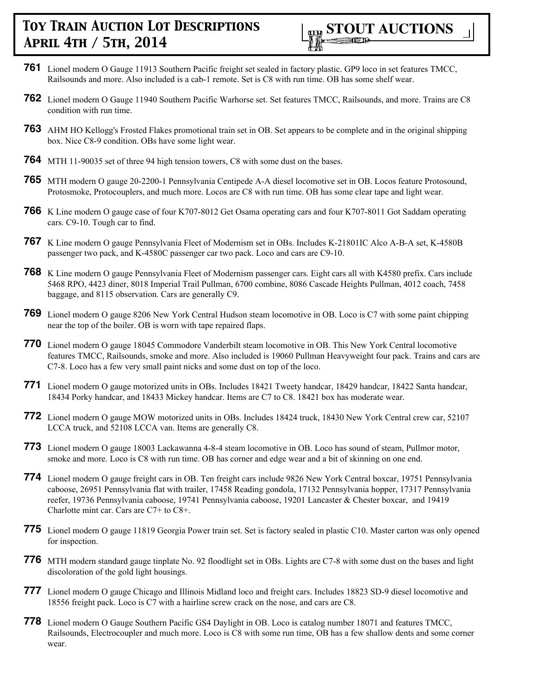

- **761** Lionel modern O Gauge 11913 Southern Pacific freight set sealed in factory plastic. GP9 loco in set features TMCC, Railsounds and more. Also included is a cab-1 remote. Set is C8 with run time. OB has some shelf wear.
- **762** Lionel modern O Gauge 11940 Southern Pacific Warhorse set. Set features TMCC, Railsounds, and more. Trains are C8 condition with run time.
- **763** AHM HO Kellogg's Frosted Flakes promotional train set in OB. Set appears to be complete and in the original shipping box. Nice C8-9 condition. OBs have some light wear.
- **764** MTH 11-90035 set of three 94 high tension towers, C8 with some dust on the bases.
- **765** MTH modern O gauge 20-2200-1 Pennsylvania Centipede A-A diesel locomotive set in OB. Locos feature Protosound, Protosmoke, Protocouplers, and much more. Locos are C8 with run time. OB has some clear tape and light wear.
- **766** K Line modern O gauge case of four K707-8012 Get Osama operating cars and four K707-8011 Got Saddam operating cars. C9-10. Tough car to find.
- **767** K Line modern O gauge Pennsylvania Fleet of Modernism set in OBs. Includes K-21801IC Alco A-B-A set, K-4580B passenger two pack, and K-4580C passenger car two pack. Loco and cars are C9-10.
- **768** K Line modern O gauge Pennsylvania Fleet of Modernism passenger cars. Eight cars all with K4580 prefix. Cars include 5468 RPO, 4423 diner, 8018 Imperial Trail Pullman, 6700 combine, 8086 Cascade Heights Pullman, 4012 coach, 7458 baggage, and 8115 observation. Cars are generally C9.
- **769** Lionel modern O gauge 8206 New York Central Hudson steam locomotive in OB. Loco is C7 with some paint chipping near the top of the boiler. OB is worn with tape repaired flaps.
- **770** Lionel modern O gauge 18045 Commodore Vanderbilt steam locomotive in OB. This New York Central locomotive features TMCC, Railsounds, smoke and more. Also included is 19060 Pullman Heavyweight four pack. Trains and cars are C7-8. Loco has a few very small paint nicks and some dust on top of the loco.
- **771** Lionel modern O gauge motorized units in OBs. Includes 18421 Tweety handcar, 18429 handcar, 18422 Santa handcar, 18434 Porky handcar, and 18433 Mickey handcar. Items are C7 to C8. 18421 box has moderate wear.
- **772** Lionel modern O gauge MOW motorized units in OBs. Includes 18424 truck, 18430 New York Central crew car, 52107 LCCA truck, and 52108 LCCA van. Items are generally C8.
- **773** Lionel modern O gauge 18003 Lackawanna 4-8-4 steam locomotive in OB. Loco has sound of steam, Pullmor motor, smoke and more. Loco is C8 with run time. OB has corner and edge wear and a bit of skinning on one end.
- **774** Lionel modern O gauge freight cars in OB. Ten freight cars include 9826 New York Central boxcar, 19751 Pennsylvania caboose, 26951 Pennsylvania flat with trailer, 17458 Reading gondola, 17132 Pennsylvania hopper, 17317 Pennsylvania reefer, 19736 Pennsylvania caboose, 19741 Pennsylvania caboose, 19201 Lancaster & Chester boxcar, and 19419 Charlotte mint car. Cars are C7+ to C8+.
- **775** Lionel modern O gauge 11819 Georgia Power train set. Set is factory sealed in plastic C10. Master carton was only opened for inspection.
- **776** MTH modern standard gauge tinplate No. 92 floodlight set in OBs. Lights are C7-8 with some dust on the bases and light discoloration of the gold light housings.
- **777** Lionel modern O gauge Chicago and Illinois Midland loco and freight cars. Includes 18823 SD-9 diesel locomotive and 18556 freight pack. Loco is C7 with a hairline screw crack on the nose, and cars are C8.
- **778** Lionel modern O Gauge Southern Pacific GS4 Daylight in OB. Loco is catalog number 18071 and features TMCC, Railsounds, Electrocoupler and much more. Loco is C8 with some run time, OB has a few shallow dents and some corner wear.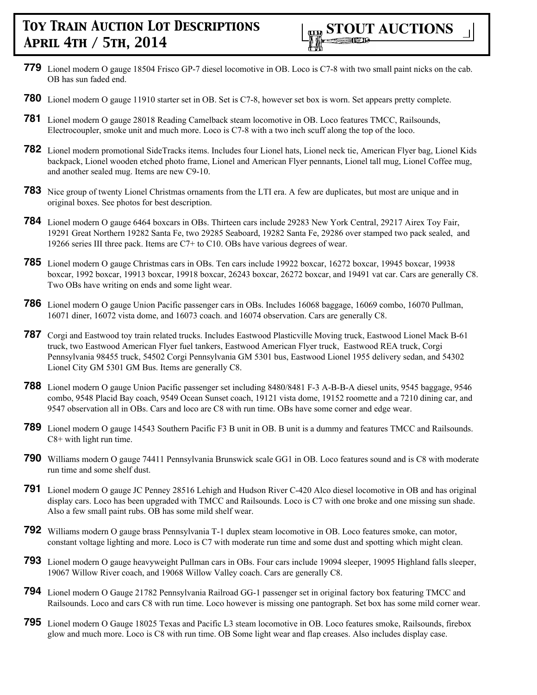- **779** Lionel modern O gauge 18504 Frisco GP-7 diesel locomotive in OB. Loco is C7-8 with two small paint nicks on the cab. OB has sun faded end.
- **780** Lionel modern O gauge 11910 starter set in OB. Set is C7-8, however set box is worn. Set appears pretty complete.
- **781** Lionel modern O gauge 28018 Reading Camelback steam locomotive in OB. Loco features TMCC, Railsounds, Electrocoupler, smoke unit and much more. Loco is C7-8 with a two inch scuff along the top of the loco.
- **782** Lionel modern promotional SideTracks items. Includes four Lionel hats, Lionel neck tie, American Flyer bag, Lionel Kids backpack, Lionel wooden etched photo frame, Lionel and American Flyer pennants, Lionel tall mug, Lionel Coffee mug, and another sealed mug. Items are new C9-10.
- **783** Nice group of twenty Lionel Christmas ornaments from the LTI era. A few are duplicates, but most are unique and in original boxes. See photos for best description.
- **784** Lionel modern O gauge 6464 boxcars in OBs. Thirteen cars include 29283 New York Central, 29217 Airex Toy Fair, 19291 Great Northern 19282 Santa Fe, two 29285 Seaboard, 19282 Santa Fe, 29286 over stamped two pack sealed, and 19266 series III three pack. Items are C7+ to C10. OBs have various degrees of wear.
- **785** Lionel modern O gauge Christmas cars in OBs. Ten cars include 19922 boxcar, 16272 boxcar, 19945 boxcar, 19938 boxcar, 1992 boxcar, 19913 boxcar, 19918 boxcar, 26243 boxcar, 26272 boxcar, and 19491 vat car. Cars are generally C8. Two OBs have writing on ends and some light wear.
- **786** Lionel modern O gauge Union Pacific passenger cars in OBs. Includes 16068 baggage, 16069 combo, 16070 Pullman, 16071 diner, 16072 vista dome, and 16073 coach. and 16074 observation. Cars are generally C8.
- **787** Corgi and Eastwood toy train related trucks. Includes Eastwood Plasticville Moving truck, Eastwood Lionel Mack B-61 truck, two Eastwood American Flyer fuel tankers, Eastwood American Flyer truck, Eastwood REA truck, Corgi Pennsylvania 98455 truck, 54502 Corgi Pennsylvania GM 5301 bus, Eastwood Lionel 1955 delivery sedan, and 54302 Lionel City GM 5301 GM Bus. Items are generally C8.
- **788** Lionel modern O gauge Union Pacific passenger set including 8480/8481 F-3 A-B-B-A diesel units, 9545 baggage, 9546 combo, 9548 Placid Bay coach, 9549 Ocean Sunset coach, 19121 vista dome, 19152 roomette and a 7210 dining car, and 9547 observation all in OBs. Cars and loco are C8 with run time. OBs have some corner and edge wear.
- **789** Lionel modern O gauge 14543 Southern Pacific F3 B unit in OB. B unit is a dummy and features TMCC and Railsounds. C8+ with light run time.
- **790** Williams modern O gauge 74411 Pennsylvania Brunswick scale GG1 in OB. Loco features sound and is C8 with moderate run time and some shelf dust.
- **791** Lionel modern O gauge JC Penney 28516 Lehigh and Hudson River C-420 Alco diesel locomotive in OB and has original display cars. Loco has been upgraded with TMCC and Railsounds. Loco is C7 with one broke and one missing sun shade. Also a few small paint rubs. OB has some mild shelf wear.
- **792** Williams modern O gauge brass Pennsylvania T-1 duplex steam locomotive in OB. Loco features smoke, can motor, constant voltage lighting and more. Loco is C7 with moderate run time and some dust and spotting which might clean.
- **793** Lionel modern O gauge heavyweight Pullman cars in OBs. Four cars include 19094 sleeper, 19095 Highland falls sleeper, 19067 Willow River coach, and 19068 Willow Valley coach. Cars are generally C8.
- **794** Lionel modern O Gauge 21782 Pennsylvania Railroad GG-1 passenger set in original factory box featuring TMCC and Railsounds. Loco and cars C8 with run time. Loco however is missing one pantograph. Set box has some mild corner wear.
- **795** Lionel modern O Gauge 18025 Texas and Pacific L3 steam locomotive in OB. Loco features smoke, Railsounds, firebox glow and much more. Loco is C8 with run time. OB Some light wear and flap creases. Also includes display case.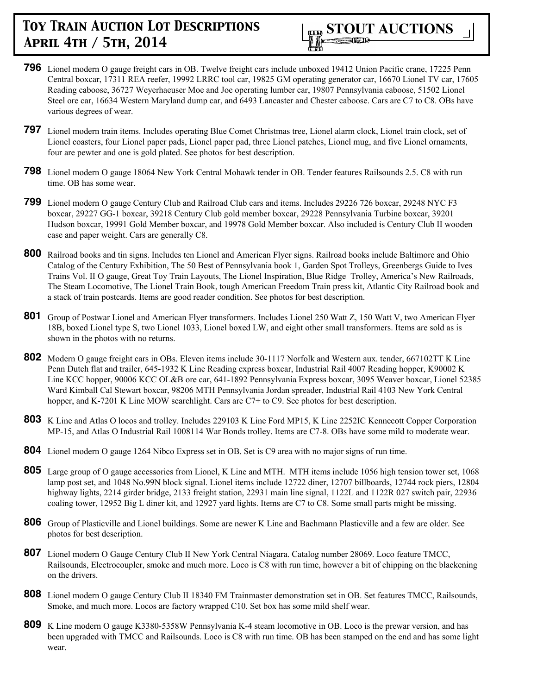

- **796** Lionel modern O gauge freight cars in OB. Twelve freight cars include unboxed 19412 Union Pacific crane, 17225 Penn Central boxcar, 17311 REA reefer, 19992 LRRC tool car, 19825 GM operating generator car, 16670 Lionel TV car, 17605 Reading caboose, 36727 Weyerhaeuser Moe and Joe operating lumber car, 19807 Pennsylvania caboose, 51502 Lionel Steel ore car, 16634 Western Maryland dump car, and 6493 Lancaster and Chester caboose. Cars are C7 to C8. OBs have various degrees of wear.
- **797** Lionel modern train items. Includes operating Blue Comet Christmas tree, Lionel alarm clock, Lionel train clock, set of Lionel coasters, four Lionel paper pads, Lionel paper pad, three Lionel patches, Lionel mug, and five Lionel ornaments, four are pewter and one is gold plated. See photos for best description.
- **798** Lionel modern O gauge 18064 New York Central Mohawk tender in OB. Tender features Railsounds 2.5. C8 with run time. OB has some wear.
- **799** Lionel modern O gauge Century Club and Railroad Club cars and items. Includes 29226 726 boxcar, 29248 NYC F3 boxcar, 29227 GG-1 boxcar, 39218 Century Club gold member boxcar, 29228 Pennsylvania Turbine boxcar, 39201 Hudson boxcar, 19991 Gold Member boxcar, and 19978 Gold Member boxcar. Also included is Century Club II wooden case and paper weight. Cars are generally C8.
- **800** Railroad books and tin signs. Includes ten Lionel and American Flyer signs. Railroad books include Baltimore and Ohio Catalog of the Century Exhibition, The 50 Best of Pennsylvania book 1, Garden Spot Trolleys, Greenbergs Guide to Ives Trains Vol. II O gauge, Great Toy Train Layouts, The Lionel Inspiration, Blue Ridge Trolley, America's New Railroads, The Steam Locomotive, The Lionel Train Book, tough American Freedom Train press kit, Atlantic City Railroad book and a stack of train postcards. Items are good reader condition. See photos for best description.
- **801** Group of Postwar Lionel and American Flyer transformers. Includes Lionel 250 Watt Z, 150 Watt V, two American Flyer 18B, boxed Lionel type S, two Lionel 1033, Lionel boxed LW, and eight other small transformers. Items are sold as is shown in the photos with no returns.
- **802** Modern O gauge freight cars in OBs. Eleven items include 30-1117 Norfolk and Western aux. tender, 667102TT K Line Penn Dutch flat and trailer, 645-1932 K Line Reading express boxcar, Industrial Rail 4007 Reading hopper, K90002 K Line KCC hopper, 90006 KCC OL&B ore car, 641-1892 Pennsylvania Express boxcar, 3095 Weaver boxcar, Lionel 52385 Ward Kimball Cal Stewart boxcar, 98206 MTH Pennsylvania Jordan spreader, Industrial Rail 4103 New York Central hopper, and K-7201 K Line MOW searchlight. Cars are C7+ to C9. See photos for best description.
- **803** K Line and Atlas O locos and trolley. Includes 229103 K Line Ford MP15, K Line 2252IC Kennecott Copper Corporation MP-15, and Atlas O Industrial Rail 1008114 War Bonds trolley. Items are C7-8. OBs have some mild to moderate wear.
- **804** Lionel modern O gauge 1264 Nibco Express set in OB. Set is C9 area with no major signs of run time.
- **805** Large group of O gauge accessories from Lionel, K Line and MTH. MTH items include 1056 high tension tower set, 1068 lamp post set, and 1048 No.99N block signal. Lionel items include 12722 diner, 12707 billboards, 12744 rock piers, 12804 highway lights, 2214 girder bridge, 2133 freight station, 22931 main line signal, 1122L and 1122R 027 switch pair, 22936 coaling tower, 12952 Big L diner kit, and 12927 yard lights. Items are C7 to C8. Some small parts might be missing.
- **806** Group of Plasticville and Lionel buildings. Some are newer K Line and Bachmann Plasticville and a few are older. See photos for best description.
- **807** Lionel modern O Gauge Century Club II New York Central Niagara. Catalog number 28069. Loco feature TMCC, Railsounds, Electrocoupler, smoke and much more. Loco is C8 with run time, however a bit of chipping on the blackening on the drivers.
- **808** Lionel modern O gauge Century Club II 18340 FM Trainmaster demonstration set in OB. Set features TMCC, Railsounds, Smoke, and much more. Locos are factory wrapped C10. Set box has some mild shelf wear.
- **809** K Line modern O gauge K3380-5358W Pennsylvania K-4 steam locomotive in OB. Loco is the prewar version, and has been upgraded with TMCC and Railsounds. Loco is C8 with run time. OB has been stamped on the end and has some light wear.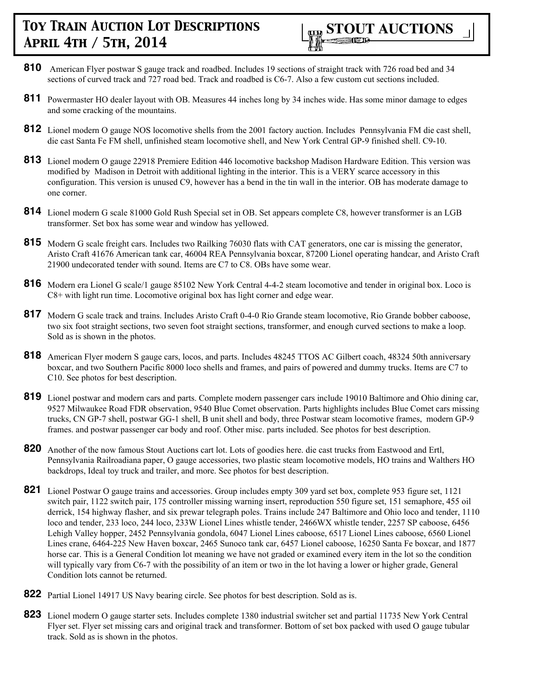- **810** American Flyer postwar S gauge track and roadbed. Includes 19 sections of straight track with 726 road bed and 34 sections of curved track and 727 road bed. Track and roadbed is C6-7. Also a few custom cut sections included.
- **811** Powermaster HO dealer layout with OB. Measures 44 inches long by 34 inches wide. Has some minor damage to edges and some cracking of the mountains.
- **812** Lionel modern O gauge NOS locomotive shells from the 2001 factory auction. Includes Pennsylvania FM die cast shell, die cast Santa Fe FM shell, unfinished steam locomotive shell, and New York Central GP-9 finished shell. C9-10.
- **813** Lionel modern O gauge 22918 Premiere Edition 446 locomotive backshop Madison Hardware Edition. This version was modified by Madison in Detroit with additional lighting in the interior. This is a VERY scarce accessory in this configuration. This version is unused C9, however has a bend in the tin wall in the interior. OB has moderate damage to one corner.
- **814** Lionel modern G scale 81000 Gold Rush Special set in OB. Set appears complete C8, however transformer is an LGB transformer. Set box has some wear and window has yellowed.
- **815** Modern G scale freight cars. Includes two Railking 76030 flats with CAT generators, one car is missing the generator, Aristo Craft 41676 American tank car, 46004 REA Pennsylvania boxcar, 87200 Lionel operating handcar, and Aristo Craft 21900 undecorated tender with sound. Items are C7 to C8. OBs have some wear.
- **816** Modern era Lionel G scale/1 gauge 85102 New York Central 4-4-2 steam locomotive and tender in original box. Loco is C8+ with light run time. Locomotive original box has light corner and edge wear.
- **817** Modern G scale track and trains. Includes Aristo Craft 0-4-0 Rio Grande steam locomotive, Rio Grande bobber caboose, two six foot straight sections, two seven foot straight sections, transformer, and enough curved sections to make a loop. Sold as is shown in the photos.
- **818** American Flyer modern S gauge cars, locos, and parts. Includes 48245 TTOS AC Gilbert coach, 48324 50th anniversary boxcar, and two Southern Pacific 8000 loco shells and frames, and pairs of powered and dummy trucks. Items are C7 to C10. See photos for best description.
- **819** Lionel postwar and modern cars and parts. Complete modern passenger cars include 19010 Baltimore and Ohio dining car, 9527 Milwaukee Road FDR observation, 9540 Blue Comet observation. Parts highlights includes Blue Comet cars missing trucks, CN GP-7 shell, postwar GG-1 shell, B unit shell and body, three Postwar steam locomotive frames, modern GP-9 frames. and postwar passenger car body and roof. Other misc. parts included. See photos for best description.
- **820** Another of the now famous Stout Auctions cart lot. Lots of goodies here. die cast trucks from Eastwood and Ertl, Pennsylvania Railroadiana paper, O gauge accessories, two plastic steam locomotive models, HO trains and Walthers HO backdrops, Ideal toy truck and trailer, and more. See photos for best description.
- **821** Lionel Postwar O gauge trains and accessories. Group includes empty 309 yard set box, complete 953 figure set, 1121 switch pair, 1122 switch pair, 175 controller missing warning insert, reproduction 550 figure set, 151 semaphore, 455 oil derrick, 154 highway flasher, and six prewar telegraph poles. Trains include 247 Baltimore and Ohio loco and tender, 1110 loco and tender, 233 loco, 244 loco, 233W Lionel Lines whistle tender, 2466WX whistle tender, 2257 SP caboose, 6456 Lehigh Valley hopper, 2452 Pennsylvania gondola, 6047 Lionel Lines caboose, 6517 Lionel Lines caboose, 6560 Lionel Lines crane, 6464-225 New Haven boxcar, 2465 Sunoco tank car, 6457 Lionel caboose, 16250 Santa Fe boxcar, and 1877 horse car. This is a General Condition lot meaning we have not graded or examined every item in the lot so the condition will typically vary from C6-7 with the possibility of an item or two in the lot having a lower or higher grade, General Condition lots cannot be returned.
- **822** Partial Lionel 14917 US Navy bearing circle. See photos for best description. Sold as is.
- **823** Lionel modern O gauge starter sets. Includes complete 1380 industrial switcher set and partial 11735 New York Central Flyer set. Flyer set missing cars and original track and transformer. Bottom of set box packed with used O gauge tubular track. Sold as is shown in the photos.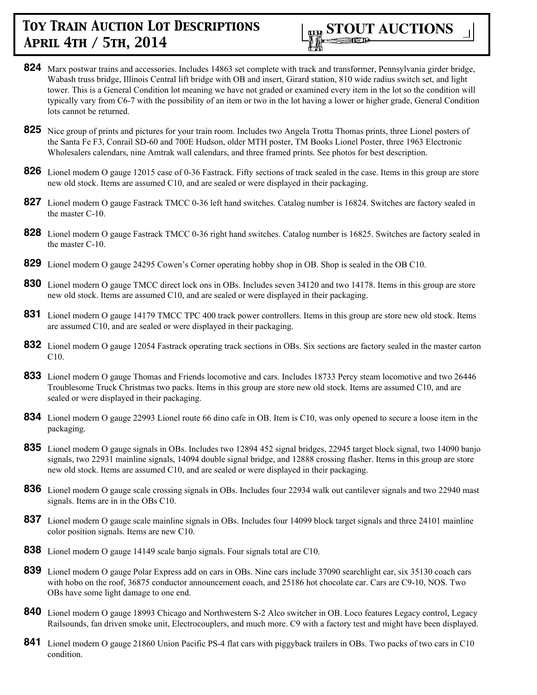

- **824** Marx postwar trains and accessories. Includes 14863 set complete with track and transformer, Pennsylvania girder bridge, Wabash truss bridge, Illinois Central lift bridge with OB and insert, Girard station, 810 wide radius switch set, and light tower. This is a General Condition lot meaning we have not graded or examined every item in the lot so the condition will typically vary from C6-7 with the possibility of an item or two in the lot having a lower or higher grade, General Condition lots cannot be returned.
- **825** Nice group of prints and pictures for your train room. Includes two Angela Trotta Thomas prints, three Lionel posters of the Santa Fe F3, Conrail SD-60 and 700E Hudson, older MTH poster, TM Books Lionel Poster, three 1963 Electronic Wholesalers calendars, nine Amtrak wall calendars, and three framed prints. See photos for best description.
- **826** Lionel modern O gauge 12015 case of 0-36 Fastrack. Fifty sections of track sealed in the case. Items in this group are store new old stock. Items are assumed C10, and are sealed or were displayed in their packaging.
- **827** Lionel modern O gauge Fastrack TMCC 0-36 left hand switches. Catalog number is 16824. Switches are factory sealed in the master C-10.
- **828** Lionel modern O gauge Fastrack TMCC 0-36 right hand switches. Catalog number is 16825. Switches are factory sealed in the master C-10.
- **829** Lionel modern O gauge 24295 Cowen's Corner operating hobby shop in OB. Shop is sealed in the OB C10.
- **830** Lionel modern O gauge TMCC direct lock ons in OBs. Includes seven 34120 and two 14178. Items in this group are store new old stock. Items are assumed C10, and are sealed or were displayed in their packaging.
- **831** Lionel modern O gauge 14179 TMCC TPC 400 track power controllers. Items in this group are store new old stock. Items are assumed C10, and are sealed or were displayed in their packaging.
- **832** Lionel modern O gauge 12054 Fastrack operating track sections in OBs. Six sections are factory sealed in the master carton C10.
- **833** Lionel modern O gauge Thomas and Friends locomotive and cars. Includes 18733 Percy steam locomotive and two 26446 Troublesome Truck Christmas two packs. Items in this group are store new old stock. Items are assumed C10, and are sealed or were displayed in their packaging.
- **834** Lionel modern O gauge 22993 Lionel route 66 dino cafe in OB. Item is C10, was only opened to secure a loose item in the packaging.
- **835** Lionel modern O gauge signals in OBs. Includes two 12894 452 signal bridges, 22945 target block signal, two 14090 banjo signals, two 22931 mainline signals, 14094 double signal bridge, and 12888 crossing flasher. Items in this group are store new old stock. Items are assumed C10, and are sealed or were displayed in their packaging.
- **836** Lionel modern O gauge scale crossing signals in OBs. Includes four 22934 walk out cantilever signals and two 22940 mast signals. Items are in in the OBs C10.
- **837** Lionel modern O gauge scale mainline signals in OBs. Includes four 14099 block target signals and three 24101 mainline color position signals. Items are new C10.
- **838** Lionel modern O gauge 14149 scale banjo signals. Four signals total are C10.
- **839** Lionel modern O gauge Polar Express add on cars in OBs. Nine cars include 37090 searchlight car, six 35130 coach cars with hobo on the roof, 36875 conductor announcement coach, and 25186 hot chocolate car. Cars are C9-10, NOS. Two OBs have some light damage to one end.
- **840** Lionel modern O gauge 18993 Chicago and Northwestern S-2 Alco switcher in OB. Loco features Legacy control, Legacy Railsounds, fan driven smoke unit, Electrocouplers, and much more. C9 with a factory test and might have been displayed.
- **841** Lionel modern O gauge 21860 Union Pacific PS-4 flat cars with piggyback trailers in OBs. Two packs of two cars in C10 condition.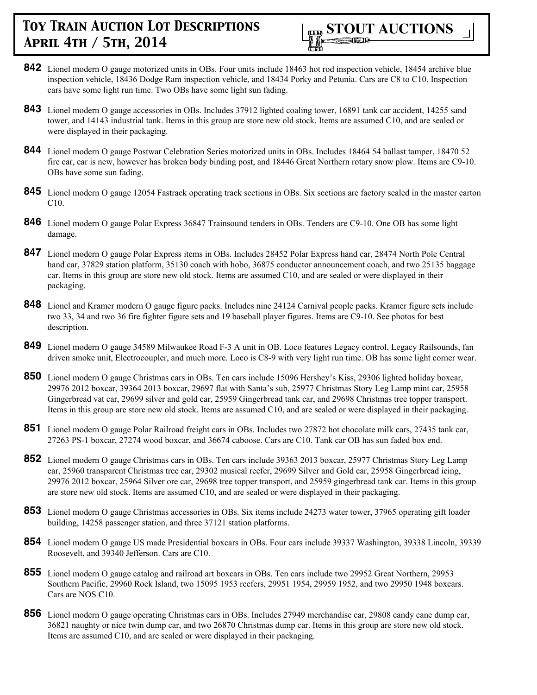

- **842** Lionel modern O gauge motorized units in OBs. Four units include 18463 hot rod inspection vehicle, 18454 archive blue inspection vehicle, 18436 Dodge Ram inspection vehicle, and 18434 Porky and Petunia. Cars are C8 to C10. Inspection cars have some light run time. Two OBs have some light sun fading.
- **843** Lionel modern O gauge accessories in OBs. Includes 37912 lighted coaling tower, 16891 tank car accident, 14255 sand tower, and 14143 industrial tank. Items in this group are store new old stock. Items are assumed C10, and are sealed or were displayed in their packaging.
- **844** Lionel modern O gauge Postwar Celebration Series motorized units in OBs. Includes 18464 54 ballast tamper, 18470 52 fire car, car is new, however has broken body binding post, and 18446 Great Northern rotary snow plow. Items are C9-10. OBs have some sun fading.
- **845** Lionel modern O gauge 12054 Fastrack operating track sections in OBs. Six sections are factory sealed in the master carton C10.
- **846** Lionel modern O gauge Polar Express 36847 Trainsound tenders in OBs. Tenders are C9-10. One OB has some light damage.
- 847 Lionel modern O gauge Polar Express items in OBs. Includes 28452 Polar Express hand car, 28474 North Pole Central hand car, 37829 station platform, 35130 coach with hobo, 36875 conductor announcement coach, and two 25135 baggage car. Items in this group are store new old stock. Items are assumed C10, and are sealed or were displayed in their packaging.
- **848** Lionel and Kramer modern O gauge figure packs. Includes nine 24124 Carnival people packs. Kramer figure sets include two 33, 34 and two 36 fire fighter figure sets and 19 baseball player figures. Items are C9-10. See photos for best description.
- **849** Lionel modern O gauge 34589 Milwaukee Road F-3 A unit in OB. Loco features Legacy control, Legacy Railsounds, fan driven smoke unit, Electrocoupler, and much more. Loco is C8-9 with very light run time. OB has some light corner wear.
- **850** Lionel modern O gauge Christmas cars in OBs. Ten cars include 15096 Hershey's Kiss, 29306 lighted holiday boxcar, 29976 2012 boxcar, 39364 2013 boxcar, 29697 flat with Santa's sub, 25977 Christmas Story Leg Lamp mint car, 25958 Gingerbread vat car, 29699 silver and gold car, 25959 Gingerbread tank car, and 29698 Christmas tree topper transport. Items in this group are store new old stock. Items are assumed C10, and are sealed or were displayed in their packaging.
- **851** Lionel modern O gauge Polar Railroad freight cars in OBs. Includes two 27872 hot chocolate milk cars, 27435 tank car, 27263 PS-1 boxcar, 27274 wood boxcar, and 36674 caboose. Cars are C10. Tank car OB has sun faded box end.
- **852** Lionel modern O gauge Christmas cars in OBs. Ten cars include 39363 2013 boxcar, 25977 Christmas Story Leg Lamp car, 25960 transparent Christmas tree car, 29302 musical reefer, 29699 Silver and Gold car, 25958 Gingerbread icing, 29976 2012 boxcar, 25964 Silver ore car, 29698 tree topper transport, and 25959 gingerbread tank car. Items in this group are store new old stock. Items are assumed C10, and are sealed or were displayed in their packaging.
- **853** Lionel modern O gauge Christmas accessories in OBs. Six items include 24273 water tower, 37965 operating gift loader building, 14258 passenger station, and three 37121 station platforms.
- **854** Lionel modern O gauge US made Presidential boxcars in OBs. Four cars include 39337 Washington, 39338 Lincoln, 39339 Roosevelt, and 39340 Jefferson. Cars are C10.
- **855** Lionel modern O gauge catalog and railroad art boxcars in OBs. Ten cars include two 29952 Great Northern, 29953 Southern Pacific, 29960 Rock Island, two 15095 1953 reefers, 29951 1954, 29959 1952, and two 29950 1948 boxcars. Cars are NOS C10.
- **856** Lionel modern O gauge operating Christmas cars in OBs. Includes 27949 merchandise car, 29808 candy cane dump car, 36821 naughty or nice twin dump car, and two 26870 Christmas dump car. Items in this group are store new old stock. Items are assumed C10, and are sealed or were displayed in their packaging.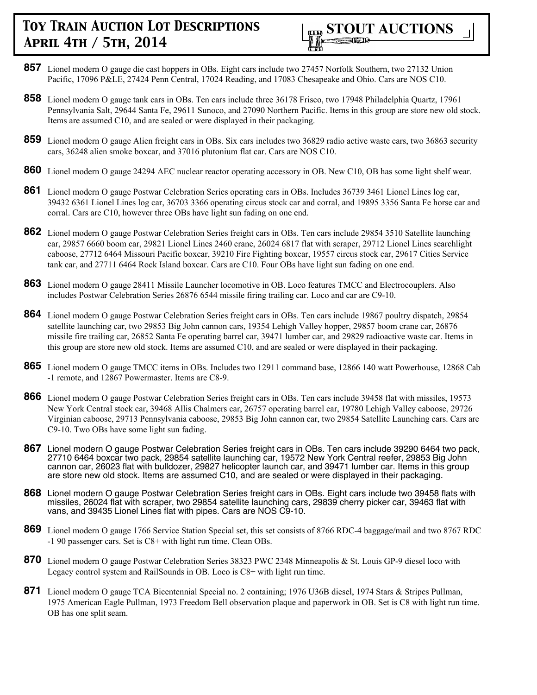

- **857** Lionel modern O gauge die cast hoppers in OBs. Eight cars include two 27457 Norfolk Southern, two 27132 Union Pacific, 17096 P&LE, 27424 Penn Central, 17024 Reading, and 17083 Chesapeake and Ohio. Cars are NOS C10.
- **858** Lionel modern O gauge tank cars in OBs. Ten cars include three 36178 Frisco, two 17948 Philadelphia Quartz, 17961 Pennsylvania Salt, 29644 Santa Fe, 29611 Sunoco, and 27090 Northern Pacific. Items in this group are store new old stock. Items are assumed C10, and are sealed or were displayed in their packaging.
- **859** Lionel modern O gauge Alien freight cars in OBs. Six cars includes two 36829 radio active waste cars, two 36863 security cars, 36248 alien smoke boxcar, and 37016 plutonium flat car. Cars are NOS C10.
- **860** Lionel modern O gauge 24294 AEC nuclear reactor operating accessory in OB. New C10, OB has some light shelf wear.
- **861** Lionel modern O gauge Postwar Celebration Series operating cars in OBs. Includes 36739 3461 Lionel Lines log car, 39432 6361 Lionel Lines log car, 36703 3366 operating circus stock car and corral, and 19895 3356 Santa Fe horse car and corral. Cars are C10, however three OBs have light sun fading on one end.
- **862** Lionel modern O gauge Postwar Celebration Series freight cars in OBs. Ten cars include 29854 3510 Satellite launching car, 29857 6660 boom car, 29821 Lionel Lines 2460 crane, 26024 6817 flat with scraper, 29712 Lionel Lines searchlight caboose, 27712 6464 Missouri Pacific boxcar, 39210 Fire Fighting boxcar, 19557 circus stock car, 29617 Cities Service tank car, and 27711 6464 Rock Island boxcar. Cars are C10. Four OBs have light sun fading on one end.
- **863** Lionel modern O gauge 28411 Missile Launcher locomotive in OB. Loco features TMCC and Electrocouplers. Also includes Postwar Celebration Series 26876 6544 missile firing trailing car. Loco and car are C9-10.
- **864** Lionel modern O gauge Postwar Celebration Series freight cars in OBs. Ten cars include 19867 poultry dispatch, 29854 satellite launching car, two 29853 Big John cannon cars, 19354 Lehigh Valley hopper, 29857 boom crane car, 26876 missile fire trailing car, 26852 Santa Fe operating barrel car, 39471 lumber car, and 29829 radioactive waste car. Items in this group are store new old stock. Items are assumed C10, and are sealed or were displayed in their packaging.
- **865** Lionel modern O gauge TMCC items in OBs. Includes two 12911 command base, 12866 140 watt Powerhouse, 12868 Cab -1 remote, and 12867 Powermaster. Items are C8-9.
- **866** Lionel modern O gauge Postwar Celebration Series freight cars in OBs. Ten cars include 39458 flat with missiles, 19573 New York Central stock car, 39468 Allis Chalmers car, 26757 operating barrel car, 19780 Lehigh Valley caboose, 29726 Virginian caboose, 29713 Pennsylvania caboose, 29853 Big John cannon car, two 29854 Satellite Launching cars. Cars are C9-10. Two OBs have some light sun fading.
- **867** Lionel modern O gauge Postwar Celebration Series freight cars in OBs. Ten cars include 39290 6464 two pack, 27710 6464 boxcar two pack, 29854 satellite launching car, 19572 New York Central reefer, 29853 Big John cannon car, 26023 flat with bulldozer, 29827 helicopter launch car, and 39471 lumber car. Items in this group are store new old stock. Items are assumed C10, and are sealed or were displayed in their packaging.
- **868** Lionel modern O gauge Postwar Celebration Series freight cars in OBs. Eight cars include two 39458 flats with missiles, 26024 flat with scraper, two 29854 satellite launching cars, 29839 cherry picker car, 39463 flat with vans, and 39435 Lionel Lines flat with pipes. Cars are NOS C9-10.
- **869** Lionel modern O gauge 1766 Service Station Special set, this set consists of 8766 RDC-4 baggage/mail and two 8767 RDC -1 90 passenger cars. Set is C8+ with light run time. Clean OBs.
- **870** Lionel modern O gauge Postwar Celebration Series 38323 PWC 2348 Minneapolis & St. Louis GP-9 diesel loco with Legacy control system and RailSounds in OB. Loco is C8+ with light run time.
- **871** Lionel modern O gauge TCA Bicentennial Special no. 2 containing; 1976 U36B diesel, 1974 Stars & Stripes Pullman, 1975 American Eagle Pullman, 1973 Freedom Bell observation plaque and paperwork in OB. Set is C8 with light run time. OB has one split seam.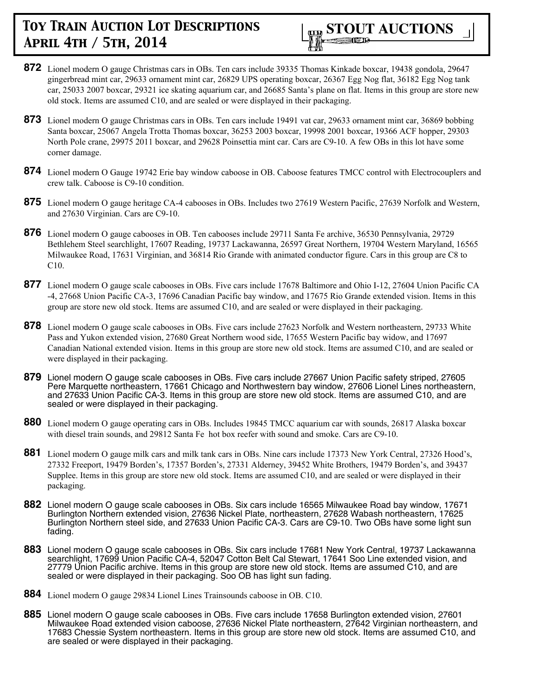

- **872** Lionel modern O gauge Christmas cars in OBs. Ten cars include 39335 Thomas Kinkade boxcar, 19438 gondola, 29647 gingerbread mint car, 29633 ornament mint car, 26829 UPS operating boxcar, 26367 Egg Nog flat, 36182 Egg Nog tank car, 25033 2007 boxcar, 29321 ice skating aquarium car, and 26685 Santa's plane on flat. Items in this group are store new old stock. Items are assumed C10, and are sealed or were displayed in their packaging.
- **873** Lionel modern O gauge Christmas cars in OBs. Ten cars include 19491 vat car, 29633 ornament mint car, 36869 bobbing Santa boxcar, 25067 Angela Trotta Thomas boxcar, 36253 2003 boxcar, 19998 2001 boxcar, 19366 ACF hopper, 29303 North Pole crane, 29975 2011 boxcar, and 29628 Poinsettia mint car. Cars are C9-10. A few OBs in this lot have some corner damage.
- **874** Lionel modern O Gauge 19742 Erie bay window caboose in OB. Caboose features TMCC control with Electrocouplers and crew talk. Caboose is C9-10 condition.
- **875** Lionel modern O gauge heritage CA-4 cabooses in OBs. Includes two 27619 Western Pacific, 27639 Norfolk and Western, and 27630 Virginian. Cars are C9-10.
- **876** Lionel modern O gauge cabooses in OB. Ten cabooses include 29711 Santa Fe archive, 36530 Pennsylvania, 29729 Bethlehem Steel searchlight, 17607 Reading, 19737 Lackawanna, 26597 Great Northern, 19704 Western Maryland, 16565 Milwaukee Road, 17631 Virginian, and 36814 Rio Grande with animated conductor figure. Cars in this group are C8 to C10.
- **877** Lionel modern O gauge scale cabooses in OBs. Five cars include 17678 Baltimore and Ohio I-12, 27604 Union Pacific CA -4, 27668 Union Pacific CA-3, 17696 Canadian Pacific bay window, and 17675 Rio Grande extended vision. Items in this group are store new old stock. Items are assumed C10, and are sealed or were displayed in their packaging.
- **878** Lionel modern O gauge scale cabooses in OBs. Five cars include 27623 Norfolk and Western northeastern, 29733 White Pass and Yukon extended vision, 27680 Great Northern wood side, 17655 Western Pacific bay widow, and 17697 Canadian National extended vision. Items in this group are store new old stock. Items are assumed C10, and are sealed or were displayed in their packaging.
- **879** Lionel modern O gauge scale cabooses in OBs. Five cars include 27667 Union Pacific safety striped, 27605 Pere Marquette northeastern, 17661 Chicago and Northwestern bay window, 27606 Lionel Lines northeastern, and 27633 Union Pacific CA-3. Items in this group are store new old stock. Items are assumed C10, and are sealed or were displayed in their packaging.
- **880** Lionel modern O gauge operating cars in OBs. Includes 19845 TMCC aquarium car with sounds, 26817 Alaska boxcar with diesel train sounds, and 29812 Santa Fe hot box reefer with sound and smoke. Cars are C9-10.
- **881** Lionel modern O gauge milk cars and milk tank cars in OBs. Nine cars include 17373 New York Central, 27326 Hood's, 27332 Freeport, 19479 Borden's, 17357 Borden's, 27331 Alderney, 39452 White Brothers, 19479 Borden's, and 39437 Supplee. Items in this group are store new old stock. Items are assumed C10, and are sealed or were displayed in their packaging.
- **882** Lionel modern O gauge scale cabooses in OBs. Six cars include 16565 Milwaukee Road bay window, 17671 Burlington Northern extended vision, 27636 Nickel Plate, northeastern, 27628 Wabash northeastern, 17625 Burlington Northern steel side, and 27633 Union Pacific CA-3. Cars are C9-10. Two OBs have some light sun fading.
- **883** Lionel modern O gauge scale cabooses in OBs. Six cars include 17681 New York Central, 19737 Lackawanna searchlight, 17699 Union Pacific CA-4, 52047 Cotton Belt Cal Stewart, 17641 Soo Line extended vision, and 27779 Union Pacific archive. Items in this group are store new old stock. Items are assumed C10, and are sealed or were displayed in their packaging. Soo OB has light sun fading.
- **884** Lionel modern O gauge 29834 Lionel Lines Trainsounds caboose in OB. C10.
- **885** Lionel modern O gauge scale cabooses in OBs. Five cars include 17658 Burlington extended vision, 27601 Milwaukee Road extended vision caboose, 27636 Nickel Plate northeastern, 27642 Virginian northeastern, and 17683 Chessie System northeastern. Items in this group are store new old stock. Items are assumed C10, and are sealed or were displayed in their packaging.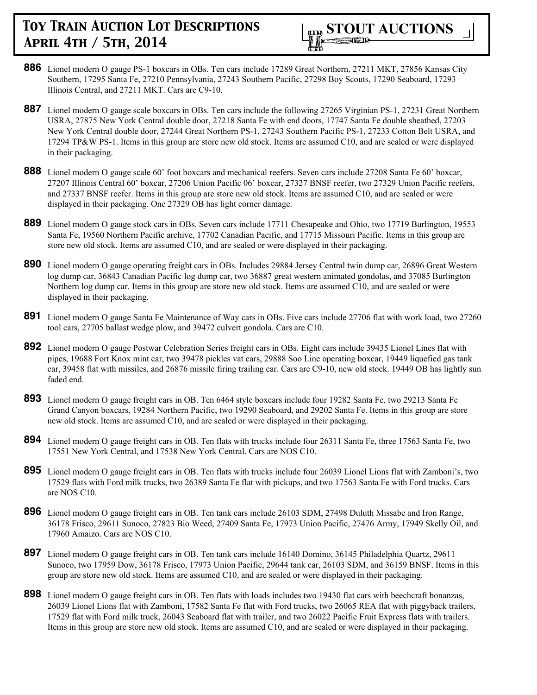

- **886** Lionel modern O gauge PS-1 boxcars in OBs. Ten cars include 17289 Great Northern, 27211 MKT, 27856 Kansas City Southern, 17295 Santa Fe, 27210 Pennsylvania, 27243 Southern Pacific, 27298 Boy Scouts, 17290 Seaboard, 17293 Illinois Central, and 27211 MKT. Cars are C9-10.
- **887** Lionel modern O gauge scale boxcars in OBs. Ten cars include the following 27265 Virginian PS-1, 27231 Great Northern USRA, 27875 New York Central double door, 27218 Santa Fe with end doors, 17747 Santa Fe double sheathed, 27203 New York Central double door, 27244 Great Northern PS-1, 27243 Southern Pacific PS-1, 27233 Cotton Belt USRA, and 17294 TP&W PS-1. Items in this group are store new old stock. Items are assumed C10, and are sealed or were displayed in their packaging.
- **888** Lionel modern O gauge scale 60' foot boxcars and mechanical reefers. Seven cars include 27208 Santa Fe 60' boxcar, 27207 Illinois Central 60' boxcar, 27206 Union Pacific 06' boxcar, 27327 BNSF reefer, two 27329 Union Pacific reefers, and 27337 BNSF reefer. Items in this group are store new old stock. Items are assumed C10, and are sealed or were displayed in their packaging. One 27329 OB has light corner damage.
- **889** Lionel modern O gauge stock cars in OBs. Seven cars include 17711 Chesapeake and Ohio, two 17719 Burlington, 19553 Santa Fe, 19560 Northern Pacific archive, 17702 Canadian Pacific, and 17715 Missouri Pacific. Items in this group are store new old stock. Items are assumed C10, and are sealed or were displayed in their packaging.
- **890** Lionel modern O gauge operating freight cars in OBs. Includes 29884 Jersey Central twin dump car, 26896 Great Western log dump car, 36843 Canadian Pacific log dump car, two 36887 great western animated gondolas, and 37085 Burlington Northern log dump car. Items in this group are store new old stock. Items are assumed C10, and are sealed or were displayed in their packaging.
- **891** Lionel modern O gauge Santa Fe Maintenance of Way cars in OBs. Five cars include 27706 flat with work load, two 27260 tool cars, 27705 ballast wedge plow, and 39472 culvert gondola. Cars are C10.
- **892** Lionel modern O gauge Postwar Celebration Series freight cars in OBs. Eight cars include 39435 Lionel Lines flat with pipes, 19688 Fort Knox mint car, two 39478 pickles vat cars, 29888 Soo Line operating boxcar, 19449 liquefied gas tank car, 39458 flat with missiles, and 26876 missile firing trailing car. Cars are C9-10, new old stock. 19449 OB has lightly sun faded end.
- **893** Lionel modern O gauge freight cars in OB. Ten 6464 style boxcars include four 19282 Santa Fe, two 29213 Santa Fe Grand Canyon boxcars, 19284 Northern Pacific, two 19290 Seaboard, and 29202 Santa Fe. Items in this group are store new old stock. Items are assumed C10, and are sealed or were displayed in their packaging.
- **894** Lionel modern O gauge freight cars in OB. Ten flats with trucks include four 26311 Santa Fe, three 17563 Santa Fe, two 17551 New York Central, and 17538 New York Central. Cars are NOS C10.
- **895** Lionel modern O gauge freight cars in OB. Ten flats with trucks include four 26039 Lionel Lions flat with Zamboni's, two 17529 flats with Ford milk trucks, two 26389 Santa Fe flat with pickups, and two 17563 Santa Fe with Ford trucks. Cars are NOS C10.
- **896** Lionel modern O gauge freight cars in OB. Ten tank cars include 26103 SDM, 27498 Duluth Missabe and Iron Range, 36178 Frisco, 29611 Sunoco, 27823 Bio Weed, 27409 Santa Fe, 17973 Union Pacific, 27476 Army, 17949 Skelly Oil, and 17960 Amaizo. Cars are NOS C10.
- **897** Lionel modern O gauge freight cars in OB. Ten tank cars include 16140 Domino, 36145 Philadelphia Quartz, 29611 Sunoco, two 17959 Dow, 36178 Frisco, 17973 Union Pacific, 29644 tank car, 26103 SDM, and 36159 BNSF. Items in this group are store new old stock. Items are assumed C10, and are sealed or were displayed in their packaging.
- **898** Lionel modern O gauge freight cars in OB. Ten flats with loads includes two 19430 flat cars with beechcraft bonanzas, 26039 Lionel Lions flat with Zamboni, 17582 Santa Fe flat with Ford trucks, two 26065 REA flat with piggyback trailers, 17529 flat with Ford milk truck, 26043 Seaboard flat with trailer, and two 26022 Pacific Fruit Express flats with trailers. Items in this group are store new old stock. Items are assumed C10, and are sealed or were displayed in their packaging.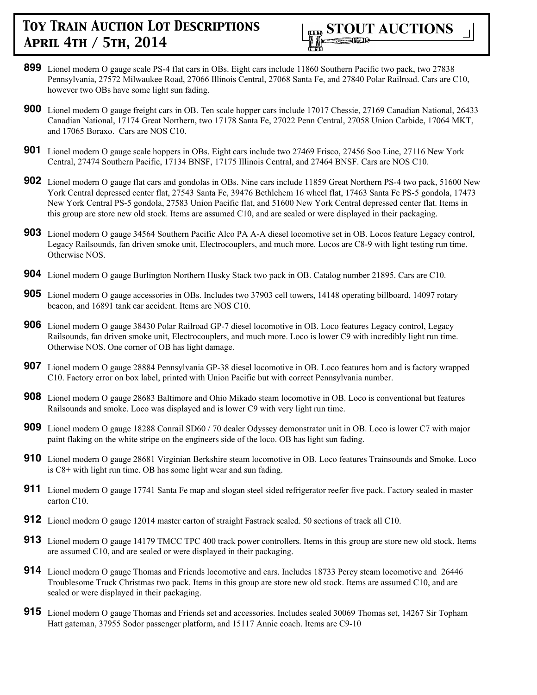

- **899** Lionel modern O gauge scale PS-4 flat cars in OBs. Eight cars include 11860 Southern Pacific two pack, two 27838 Pennsylvania, 27572 Milwaukee Road, 27066 Illinois Central, 27068 Santa Fe, and 27840 Polar Railroad. Cars are C10, however two OBs have some light sun fading.
- **900** Lionel modern O gauge freight cars in OB. Ten scale hopper cars include 17017 Chessie, 27169 Canadian National, 26433 Canadian National, 17174 Great Northern, two 17178 Santa Fe, 27022 Penn Central, 27058 Union Carbide, 17064 MKT, and 17065 Boraxo. Cars are NOS C10.
- **901** Lionel modern O gauge scale hoppers in OBs. Eight cars include two 27469 Frisco, 27456 Soo Line, 27116 New York Central, 27474 Southern Pacific, 17134 BNSF, 17175 Illinois Central, and 27464 BNSF. Cars are NOS C10.
- **902** Lionel modern O gauge flat cars and gondolas in OBs. Nine cars include 11859 Great Northern PS-4 two pack, 51600 New York Central depressed center flat, 27543 Santa Fe, 39476 Bethlehem 16 wheel flat, 17463 Santa Fe PS-5 gondola, 17473 New York Central PS-5 gondola, 27583 Union Pacific flat, and 51600 New York Central depressed center flat. Items in this group are store new old stock. Items are assumed C10, and are sealed or were displayed in their packaging.
- **903** Lionel modern O gauge 34564 Southern Pacific Alco PA A-A diesel locomotive set in OB. Locos feature Legacy control, Legacy Railsounds, fan driven smoke unit, Electrocouplers, and much more. Locos are C8-9 with light testing run time. Otherwise NOS.
- **904** Lionel modern O gauge Burlington Northern Husky Stack two pack in OB. Catalog number 21895. Cars are C10.
- **905** Lionel modern O gauge accessories in OBs. Includes two 37903 cell towers, 14148 operating billboard, 14097 rotary beacon, and 16891 tank car accident. Items are NOS C10.
- **906** Lionel modern O gauge 38430 Polar Railroad GP-7 diesel locomotive in OB. Loco features Legacy control, Legacy Railsounds, fan driven smoke unit, Electrocouplers, and much more. Loco is lower C9 with incredibly light run time. Otherwise NOS. One corner of OB has light damage.
- **907** Lionel modern O gauge 28884 Pennsylvania GP-38 diesel locomotive in OB. Loco features horn and is factory wrapped C10. Factory error on box label, printed with Union Pacific but with correct Pennsylvania number.
- **908** Lionel modern O gauge 28683 Baltimore and Ohio Mikado steam locomotive in OB. Loco is conventional but features Railsounds and smoke. Loco was displayed and is lower C9 with very light run time.
- **909** Lionel modern O gauge 18288 Conrail SD60 / 70 dealer Odyssey demonstrator unit in OB. Loco is lower C7 with major paint flaking on the white stripe on the engineers side of the loco. OB has light sun fading.
- **910** Lionel modern O gauge 28681 Virginian Berkshire steam locomotive in OB. Loco features Trainsounds and Smoke. Loco is C8+ with light run time. OB has some light wear and sun fading.
- **911** Lionel modern O gauge 17741 Santa Fe map and slogan steel sided refrigerator reefer five pack. Factory sealed in master carton C10.
- **912** Lionel modern O gauge 12014 master carton of straight Fastrack sealed. 50 sections of track all C10.
- **913** Lionel modern O gauge 14179 TMCC TPC 400 track power controllers. Items in this group are store new old stock. Items are assumed C10, and are sealed or were displayed in their packaging.
- **914** Lionel modern O gauge Thomas and Friends locomotive and cars. Includes 18733 Percy steam locomotive and 26446 Troublesome Truck Christmas two pack. Items in this group are store new old stock. Items are assumed C10, and are sealed or were displayed in their packaging.
- **915** Lionel modern O gauge Thomas and Friends set and accessories. Includes sealed 30069 Thomas set, 14267 Sir Topham Hatt gateman, 37955 Sodor passenger platform, and 15117 Annie coach. Items are C9-10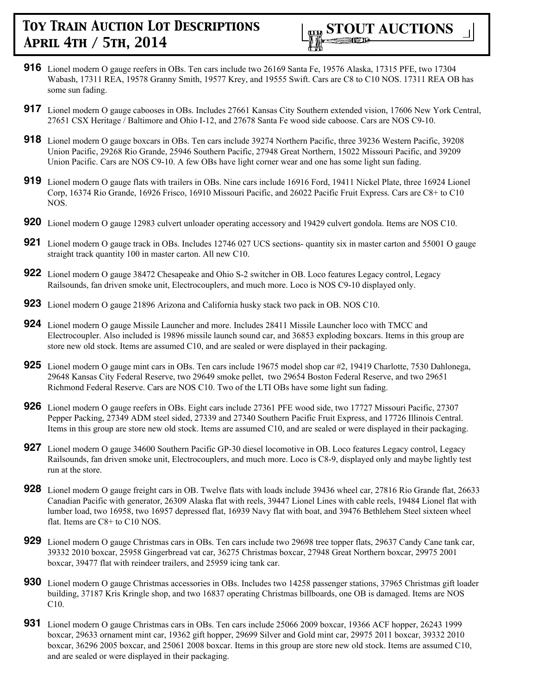

- **916** Lionel modern O gauge reefers in OBs. Ten cars include two 26169 Santa Fe, 19576 Alaska, 17315 PFE, two 17304 Wabash, 17311 REA, 19578 Granny Smith, 19577 Krey, and 19555 Swift. Cars are C8 to C10 NOS. 17311 REA OB has some sun fading.
- **917** Lionel modern O gauge cabooses in OBs. Includes 27661 Kansas City Southern extended vision, 17606 New York Central, 27651 CSX Heritage / Baltimore and Ohio I-12, and 27678 Santa Fe wood side caboose. Cars are NOS C9-10.
- **918** Lionel modern O gauge boxcars in OBs. Ten cars include 39274 Northern Pacific, three 39236 Western Pacific, 39208 Union Pacific, 29268 Rio Grande, 25946 Southern Pacific, 27948 Great Northern, 15022 Missouri Pacific, and 39209 Union Pacific. Cars are NOS C9-10. A few OBs have light corner wear and one has some light sun fading.
- **919** Lionel modern O gauge flats with trailers in OBs. Nine cars include 16916 Ford, 19411 Nickel Plate, three 16924 Lionel Corp, 16374 Rio Grande, 16926 Frisco, 16910 Missouri Pacific, and 26022 Pacific Fruit Express. Cars are C8+ to C10 NOS.
- **920** Lionel modern O gauge 12983 culvert unloader operating accessory and 19429 culvert gondola. Items are NOS C10.
- **921** Lionel modern O gauge track in OBs. Includes 12746 027 UCS sections- quantity six in master carton and 55001 O gauge straight track quantity 100 in master carton. All new C10.
- **922** Lionel modern O gauge 38472 Chesapeake and Ohio S-2 switcher in OB. Loco features Legacy control, Legacy Railsounds, fan driven smoke unit, Electrocouplers, and much more. Loco is NOS C9-10 displayed only.
- **923** Lionel modern O gauge 21896 Arizona and California husky stack two pack in OB. NOS C10.
- **924** Lionel modern O gauge Missile Launcher and more. Includes 28411 Missile Launcher loco with TMCC and Electrocoupler. Also included is 19896 missile launch sound car, and 36853 exploding boxcars. Items in this group are store new old stock. Items are assumed C10, and are sealed or were displayed in their packaging.
- **925** Lionel modern O gauge mint cars in OBs. Ten cars include 19675 model shop car #2, 19419 Charlotte, 7530 Dahlonega, 29648 Kansas City Federal Reserve, two 29649 smoke pellet, two 29654 Boston Federal Reserve, and two 29651 Richmond Federal Reserve. Cars are NOS C10. Two of the LTI OBs have some light sun fading.
- **926** Lionel modern O gauge reefers in OBs. Eight cars include 27361 PFE wood side, two 17727 Missouri Pacific, 27307 Pepper Packing, 27349 ADM steel sided, 27339 and 27340 Southern Pacific Fruit Express, and 17726 Illinois Central. Items in this group are store new old stock. Items are assumed C10, and are sealed or were displayed in their packaging.
- **927** Lionel modern O gauge 34600 Southern Pacific GP-30 diesel locomotive in OB. Loco features Legacy control, Legacy Railsounds, fan driven smoke unit, Electrocouplers, and much more. Loco is C8-9, displayed only and maybe lightly test run at the store.
- **928** Lionel modern O gauge freight cars in OB. Twelve flats with loads include 39436 wheel car, 27816 Rio Grande flat, 26633 Canadian Pacific with generator, 26309 Alaska flat with reels, 39447 Lionel Lines with cable reels, 19484 Lionel flat with lumber load, two 16958, two 16957 depressed flat, 16939 Navy flat with boat, and 39476 Bethlehem Steel sixteen wheel flat. Items are C8+ to C10 NOS.
- **929** Lionel modern O gauge Christmas cars in OBs. Ten cars include two 29698 tree topper flats, 29637 Candy Cane tank car, 39332 2010 boxcar, 25958 Gingerbread vat car, 36275 Christmas boxcar, 27948 Great Northern boxcar, 29975 2001 boxcar, 39477 flat with reindeer trailers, and 25959 icing tank car.
- **930** Lionel modern O gauge Christmas accessories in OBs. Includes two 14258 passenger stations, 37965 Christmas gift loader building, 37187 Kris Kringle shop, and two 16837 operating Christmas billboards, one OB is damaged. Items are NOS C10.
- **931** Lionel modern O gauge Christmas cars in OBs. Ten cars include 25066 2009 boxcar, 19366 ACF hopper, 26243 1999 boxcar, 29633 ornament mint car, 19362 gift hopper, 29699 Silver and Gold mint car, 29975 2011 boxcar, 39332 2010 boxcar, 36296 2005 boxcar, and 25061 2008 boxcar. Items in this group are store new old stock. Items are assumed C10, and are sealed or were displayed in their packaging.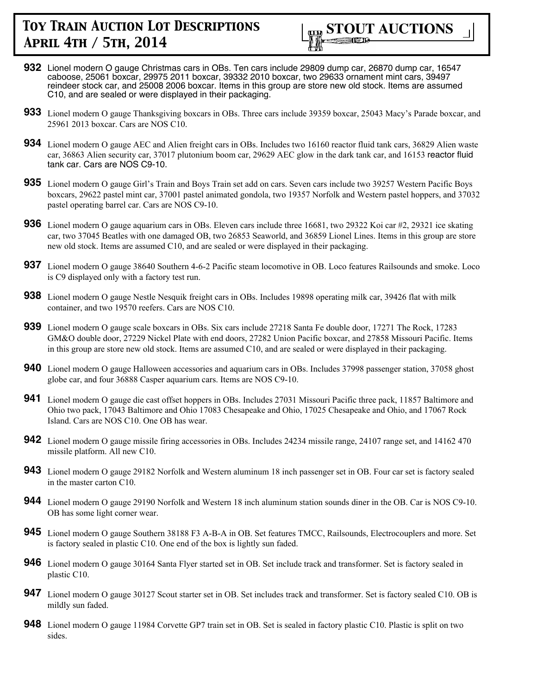

- **932** Lionel modern O gauge Christmas cars in OBs. Ten cars include 29809 dump car, 26870 dump car, 16547 caboose, 25061 boxcar, 29975 2011 boxcar, 39332 2010 boxcar, two 29633 ornament mint cars, 39497 reindeer stock car, and 25008 2006 boxcar. Items in this group are store new old stock. Items are assumed C10, and are sealed or were displayed in their packaging.
- **933** Lionel modern O gauge Thanksgiving boxcars in OBs. Three cars include 39359 boxcar, 25043 Macy's Parade boxcar, and 25961 2013 boxcar. Cars are NOS C10.
- **934** Lionel modern O gauge AEC and Alien freight cars in OBs. Includes two 16160 reactor fluid tank cars, 36829 Alien waste car, 36863 Alien security car, 37017 plutonium boom car, 29629 AEC glow in the dark tank car, and 16153 reactor fluid tank car. Cars are NOS C9-10.
- **935** Lionel modern O gauge Girl's Train and Boys Train set add on cars. Seven cars include two 39257 Western Pacific Boys boxcars, 29622 pastel mint car, 37001 pastel animated gondola, two 19357 Norfolk and Western pastel hoppers, and 37032 pastel operating barrel car. Cars are NOS C9-10.
- **936** Lionel modern O gauge aquarium cars in OBs. Eleven cars include three 16681, two 29322 Koi car #2, 29321 ice skating car, two 37045 Beatles with one damaged OB, two 26853 Seaworld, and 36859 Lionel Lines. Items in this group are store new old stock. Items are assumed C10, and are sealed or were displayed in their packaging.
- **937** Lionel modern O gauge 38640 Southern 4-6-2 Pacific steam locomotive in OB. Loco features Railsounds and smoke. Loco is C9 displayed only with a factory test run.
- **938** Lionel modern O gauge Nestle Nesquik freight cars in OBs. Includes 19898 operating milk car, 39426 flat with milk container, and two 19570 reefers. Cars are NOS C10.
- **939** Lionel modern O gauge scale boxcars in OBs. Six cars include 27218 Santa Fe double door, 17271 The Rock, 17283 GM&O double door, 27229 Nickel Plate with end doors, 27282 Union Pacific boxcar, and 27858 Missouri Pacific. Items in this group are store new old stock. Items are assumed C10, and are sealed or were displayed in their packaging.
- **940** Lionel modern O gauge Halloween accessories and aquarium cars in OBs. Includes 37998 passenger station, 37058 ghost globe car, and four 36888 Casper aquarium cars. Items are NOS C9-10.
- **941** Lionel modern O gauge die cast offset hoppers in OBs. Includes 27031 Missouri Pacific three pack, 11857 Baltimore and Ohio two pack, 17043 Baltimore and Ohio 17083 Chesapeake and Ohio, 17025 Chesapeake and Ohio, and 17067 Rock Island. Cars are NOS C10. One OB has wear.
- **942** Lionel modern O gauge missile firing accessories in OBs. Includes 24234 missile range, 24107 range set, and 14162 470 missile platform. All new C10.
- **943** Lionel modern O gauge 29182 Norfolk and Western aluminum 18 inch passenger set in OB. Four car set is factory sealed in the master carton C10.
- **944** Lionel modern O gauge 29190 Norfolk and Western 18 inch aluminum station sounds diner in the OB. Car is NOS C9-10. OB has some light corner wear.
- **945** Lionel modern O gauge Southern 38188 F3 A-B-A in OB. Set features TMCC, Railsounds, Electrocouplers and more. Set is factory sealed in plastic C10. One end of the box is lightly sun faded.
- **946** Lionel modern O gauge 30164 Santa Flyer started set in OB. Set include track and transformer. Set is factory sealed in plastic C10.
- **947** Lionel modern O gauge 30127 Scout starter set in OB. Set includes track and transformer. Set is factory sealed C10. OB is mildly sun faded.
- **948** Lionel modern O gauge 11984 Corvette GP7 train set in OB. Set is sealed in factory plastic C10. Plastic is split on two sides.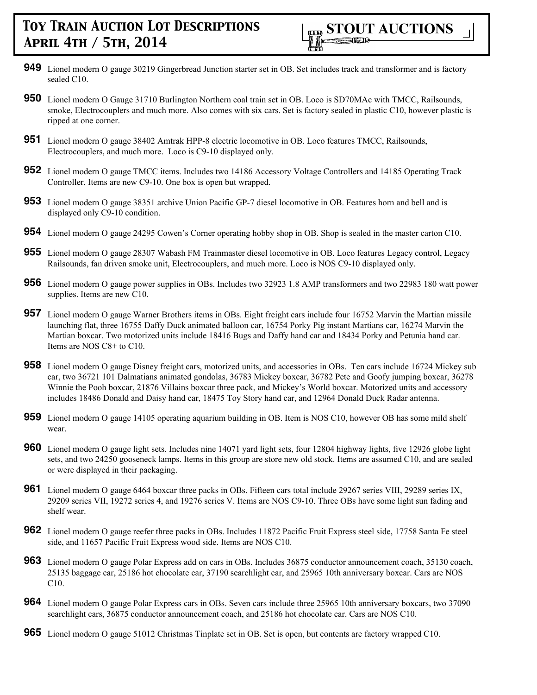- **949** Lionel modern O gauge 30219 Gingerbread Junction starter set in OB. Set includes track and transformer and is factory sealed C10.
- **950** Lionel modern O Gauge 31710 Burlington Northern coal train set in OB. Loco is SD70MAc with TMCC, Railsounds, smoke, Electrocouplers and much more. Also comes with six cars. Set is factory sealed in plastic C10, however plastic is ripped at one corner.
- **951** Lionel modern O gauge 38402 Amtrak HPP-8 electric locomotive in OB. Loco features TMCC, Railsounds, Electrocouplers, and much more. Loco is C9-10 displayed only.
- **952** Lionel modern O gauge TMCC items. Includes two 14186 Accessory Voltage Controllers and 14185 Operating Track Controller. Items are new C9-10. One box is open but wrapped.
- **953** Lionel modern O gauge 38351 archive Union Pacific GP-7 diesel locomotive in OB. Features horn and bell and is displayed only C9-10 condition.
- **954** Lionel modern O gauge 24295 Cowen's Corner operating hobby shop in OB. Shop is sealed in the master carton C10.
- **955** Lionel modern O gauge 28307 Wabash FM Trainmaster diesel locomotive in OB. Loco features Legacy control, Legacy Railsounds, fan driven smoke unit, Electrocouplers, and much more. Loco is NOS C9-10 displayed only.
- **956** Lionel modern O gauge power supplies in OBs. Includes two 32923 1.8 AMP transformers and two 22983 180 watt power supplies. Items are new C10.
- **957** Lionel modern O gauge Warner Brothers items in OBs. Eight freight cars include four 16752 Marvin the Martian missile launching flat, three 16755 Daffy Duck animated balloon car, 16754 Porky Pig instant Martians car, 16274 Marvin the Martian boxcar. Two motorized units include 18416 Bugs and Daffy hand car and 18434 Porky and Petunia hand car. Items are NOS C8+ to C10.
- **958** Lionel modern O gauge Disney freight cars, motorized units, and accessories in OBs. Ten cars include 16724 Mickey sub car, two 36721 101 Dalmatians animated gondolas, 36783 Mickey boxcar, 36782 Pete and Goofy jumping boxcar, 36278 Winnie the Pooh boxcar, 21876 Villains boxcar three pack, and Mickey's World boxcar. Motorized units and accessory includes 18486 Donald and Daisy hand car, 18475 Toy Story hand car, and 12964 Donald Duck Radar antenna.
- **959** Lionel modern O gauge 14105 operating aquarium building in OB. Item is NOS C10, however OB has some mild shelf wear.
- **960** Lionel modern O gauge light sets. Includes nine 14071 yard light sets, four 12804 highway lights, five 12926 globe light sets, and two 24250 gooseneck lamps. Items in this group are store new old stock. Items are assumed C10, and are sealed or were displayed in their packaging.
- **961** Lionel modern O gauge 6464 boxcar three packs in OBs. Fifteen cars total include 29267 series VIII, 29289 series IX, 29209 series VII, 19272 series 4, and 19276 series V. Items are NOS C9-10. Three OBs have some light sun fading and shelf wear.
- **962** Lionel modern O gauge reefer three packs in OBs. Includes 11872 Pacific Fruit Express steel side, 17758 Santa Fe steel side, and 11657 Pacific Fruit Express wood side. Items are NOS C10.
- **963** Lionel modern O gauge Polar Express add on cars in OBs. Includes 36875 conductor announcement coach, 35130 coach, 25135 baggage car, 25186 hot chocolate car, 37190 searchlight car, and 25965 10th anniversary boxcar. Cars are NOS C10.
- **964** Lionel modern O gauge Polar Express cars in OBs. Seven cars include three 25965 10th anniversary boxcars, two 37090 searchlight cars,  $36875$  conductor announcement coach, and 25186 hot chocolate car. Cars are NOS C10.
- **965** Lionel modern O gauge 51012 Christmas Tinplate set in OB. Set is open, but contents are factory wrapped C10.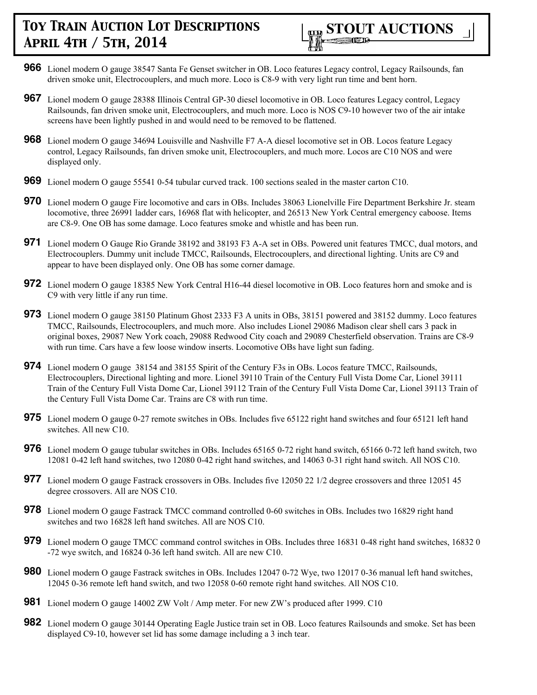

- **966** Lionel modern O gauge 38547 Santa Fe Genset switcher in OB. Loco features Legacy control, Legacy Railsounds, fan driven smoke unit, Electrocouplers, and much more. Loco is C8-9 with very light run time and bent horn.
- **967** Lionel modern O gauge 28388 Illinois Central GP-30 diesel locomotive in OB. Loco features Legacy control, Legacy Railsounds, fan driven smoke unit, Electrocouplers, and much more. Loco is NOS C9-10 however two of the air intake screens have been lightly pushed in and would need to be removed to be flattened.
- **968** Lionel modern O gauge 34694 Louisville and Nashville F7 A-A diesel locomotive set in OB. Locos feature Legacy control, Legacy Railsounds, fan driven smoke unit, Electrocouplers, and much more. Locos are C10 NOS and were displayed only.
- **969** Lionel modern O gauge 55541 0-54 tubular curved track. 100 sections sealed in the master carton C10.
- **970** Lionel modern O gauge Fire locomotive and cars in OBs. Includes 38063 Lionelville Fire Department Berkshire Jr. steam locomotive, three 26991 ladder cars, 16968 flat with helicopter, and 26513 New York Central emergency caboose. Items are C8-9. One OB has some damage. Loco features smoke and whistle and has been run.
- **971** Lionel modern O Gauge Rio Grande 38192 and 38193 F3 A-A set in OBs. Powered unit features TMCC, dual motors, and Electrocouplers. Dummy unit include TMCC, Railsounds, Electrocouplers, and directional lighting. Units are C9 and appear to have been displayed only. One OB has some corner damage.
- **972** Lionel modern O gauge 18385 New York Central H16-44 diesel locomotive in OB. Loco features horn and smoke and is C9 with very little if any run time.
- **973** Lionel modern O gauge 38150 Platinum Ghost 2333 F3 A units in OBs, 38151 powered and 38152 dummy. Loco features TMCC, Railsounds, Electrocouplers, and much more. Also includes Lionel 29086 Madison clear shell cars 3 pack in original boxes, 29087 New York coach, 29088 Redwood City coach and 29089 Chesterfield observation. Trains are C8-9 with run time. Cars have a few loose window inserts. Locomotive OBs have light sun fading.
- **974** Lionel modern O gauge 38154 and 38155 Spirit of the Century F3s in OBs. Locos feature TMCC, Railsounds, Electrocouplers, Directional lighting and more. Lionel 39110 Train of the Century Full Vista Dome Car, Lionel 39111 Train of the Century Full Vista Dome Car, Lionel 39112 Train of the Century Full Vista Dome Car, Lionel 39113 Train of the Century Full Vista Dome Car. Trains are C8 with run time.
- **975** Lionel modern O gauge 0-27 remote switches in OBs. Includes five 65122 right hand switches and four 65121 left hand switches. All new C10.
- **976** Lionel modern O gauge tubular switches in OBs. Includes 65165 0-72 right hand switch, 65166 0-72 left hand switch, two 12081 0-42 left hand switches, two 12080 0-42 right hand switches, and 14063 0-31 right hand switch. All NOS C10.
- **977** Lionel modern O gauge Fastrack crossovers in OBs. Includes five 12050 22 1/2 degree crossovers and three 12051 45 degree crossovers. All are NOS C10.
- **978** Lionel modern O gauge Fastrack TMCC command controlled 0-60 switches in OBs. Includes two 16829 right hand switches and two 16828 left hand switches. All are NOS C10.
- **979** Lionel modern O gauge TMCC command control switches in OBs. Includes three 16831 0-48 right hand switches, 16832 0 -72 wye switch, and 16824 0-36 left hand switch. All are new C10.
- **980** Lionel modern O gauge Fastrack switches in OBs. Includes 12047 0-72 Wye, two 12017 0-36 manual left hand switches, 12045 0-36 remote left hand switch, and two 12058 0-60 remote right hand switches. All NOS C10.
- **981** Lionel modern O gauge 14002 ZW Volt / Amp meter. For new ZW's produced after 1999. C10
- **982** Lionel modern O gauge 30144 Operating Eagle Justice train set in OB. Loco features Railsounds and smoke. Set has been displayed C9-10, however set lid has some damage including a 3 inch tear.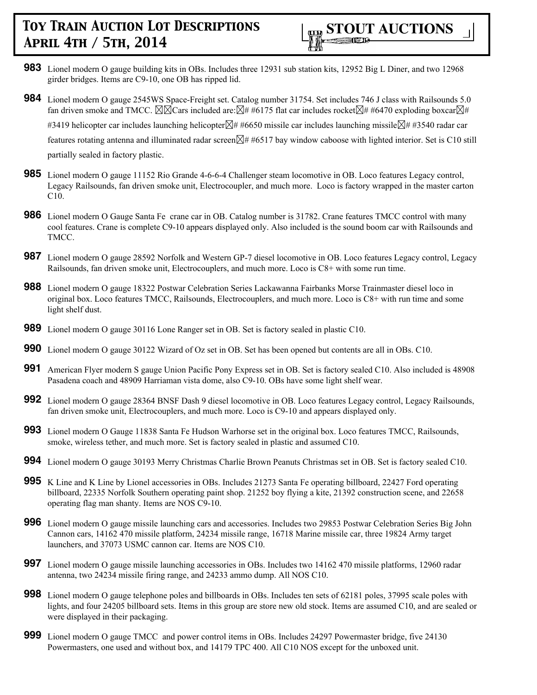- **983** Lionel modern O gauge building kits in OBs. Includes three 12931 sub station kits, 12952 Big L Diner, and two 12968 girder bridges. Items are C9-10, one OB has ripped lid.
- **984** Lionel modern O gauge 2545WS Space-Freight set. Catalog number 31754. Set includes 746 J class with Railsounds 5.0 fan driven smoke and TMCC.  $\boxtimes \boxtimes$ Cars included are: $\boxtimes \#$  #6175 flat car includes rocket $\boxtimes \#$  #6470 exploding boxcar $\boxtimes \#$ #3419 helicopter car includes launching helicopter $\boxtimes$ # #6650 missile car includes launching missile $\boxtimes$ # #3540 radar car features rotating antenna and illuminated radar screen $\boxtimes \# 46517$  bay window caboose with lighted interior. Set is C10 still partially sealed in factory plastic.
- **985** Lionel modern O gauge 11152 Rio Grande 4-6-6-4 Challenger steam locomotive in OB. Loco features Legacy control, Legacy Railsounds, fan driven smoke unit, Electrocoupler, and much more. Loco is factory wrapped in the master carton C10.
- **986** Lionel modern O Gauge Santa Fe crane car in OB. Catalog number is 31782. Crane features TMCC control with many cool features. Crane is complete C9-10 appears displayed only. Also included is the sound boom car with Railsounds and TMCC.
- **987** Lionel modern O gauge 28592 Norfolk and Western GP-7 diesel locomotive in OB. Loco features Legacy control, Legacy Railsounds, fan driven smoke unit, Electrocouplers, and much more. Loco is C8+ with some run time.
- **988** Lionel modern O gauge 18322 Postwar Celebration Series Lackawanna Fairbanks Morse Trainmaster diesel loco in original box. Loco features TMCC, Railsounds, Electrocouplers, and much more. Loco is C8+ with run time and some light shelf dust.
- **989** Lionel modern O gauge 30116 Lone Ranger set in OB. Set is factory sealed in plastic C10.
- **990** Lionel modern O gauge 30122 Wizard of Oz set in OB. Set has been opened but contents are all in OBs. C10.
- **991** American Flyer modern S gauge Union Pacific Pony Express set in OB. Set is factory sealed C10. Also included is 48908 Pasadena coach and 48909 Harriaman vista dome, also C9-10. OBs have some light shelf wear.
- **992** Lionel modern O gauge 28364 BNSF Dash 9 diesel locomotive in OB. Loco features Legacy control, Legacy Railsounds, fan driven smoke unit, Electrocouplers, and much more. Loco is C9-10 and appears displayed only.
- **993** Lionel modern O Gauge 11838 Santa Fe Hudson Warhorse set in the original box. Loco features TMCC, Railsounds, smoke, wireless tether, and much more. Set is factory sealed in plastic and assumed C10.
- **994** Lionel modern O gauge 30193 Merry Christmas Charlie Brown Peanuts Christmas set in OB. Set is factory sealed C10.
- **995** K Line and K Line by Lionel accessories in OBs. Includes 21273 Santa Fe operating billboard, 22427 Ford operating billboard, 22335 Norfolk Southern operating paint shop. 21252 boy flying a kite, 21392 construction scene, and 22658 operating flag man shanty. Items are NOS C9-10.
- **996** Lionel modern O gauge missile launching cars and accessories. Includes two 29853 Postwar Celebration Series Big John Cannon cars, 14162 470 missile platform, 24234 missile range, 16718 Marine missile car, three 19824 Army target launchers, and 37073 USMC cannon car. Items are NOS C10.
- **997** Lionel modern O gauge missile launching accessories in OBs. Includes two 14162 470 missile platforms, 12960 radar antenna, two 24234 missile firing range, and 24233 ammo dump. All NOS C10.
- **998** Lionel modern O gauge telephone poles and billboards in OBs. Includes ten sets of 62181 poles, 37995 scale poles with lights, and four 24205 billboard sets. Items in this group are store new old stock. Items are assumed C10, and are sealed or were displayed in their packaging.
- **999** Lionel modern O gauge TMCC and power control items in OBs. Includes 24297 Powermaster bridge, five 24130 Powermasters, one used and without box, and 14179 TPC 400. All C10 NOS except for the unboxed unit.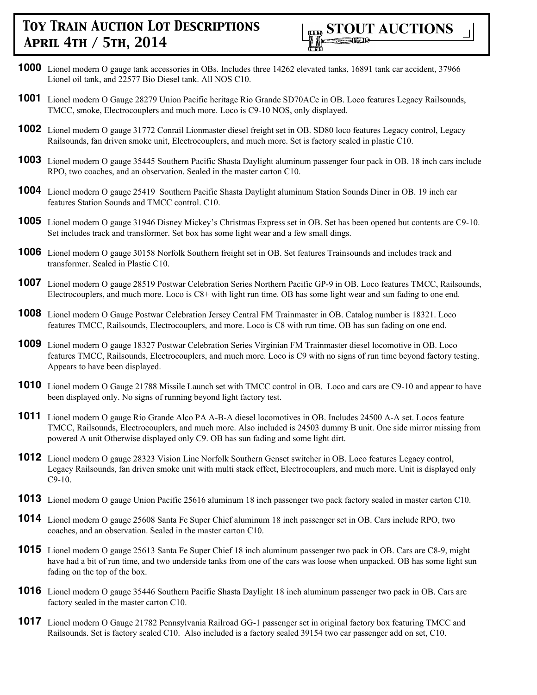

- **1000** Lionel modern O gauge tank accessories in OBs. Includes three 14262 elevated tanks, 16891 tank car accident, 37966 Lionel oil tank, and 22577 Bio Diesel tank. All NOS C10.
- **1001** Lionel modern O Gauge 28279 Union Pacific heritage Rio Grande SD70ACe in OB. Loco features Legacy Railsounds, TMCC, smoke, Electrocouplers and much more. Loco is C9-10 NOS, only displayed.
- **1002** Lionel modern O gauge 31772 Conrail Lionmaster diesel freight set in OB. SD80 loco features Legacy control, Legacy Railsounds, fan driven smoke unit, Electrocouplers, and much more. Set is factory sealed in plastic C10.
- **1003** Lionel modern O gauge 35445 Southern Pacific Shasta Daylight aluminum passenger four pack in OB. 18 inch cars include RPO, two coaches, and an observation. Sealed in the master carton C10.
- **1004** Lionel modern O gauge 25419 Southern Pacific Shasta Daylight aluminum Station Sounds Diner in OB. 19 inch car features Station Sounds and TMCC control. C10.
- **1005** Lionel modern O gauge 31946 Disney Mickey's Christmas Express set in OB. Set has been opened but contents are C9-10. Set includes track and transformer. Set box has some light wear and a few small dings.
- **1006** Lionel modern O gauge 30158 Norfolk Southern freight set in OB. Set features Trainsounds and includes track and transformer. Sealed in Plastic C10.
- **1007** Lionel modern O gauge 28519 Postwar Celebration Series Northern Pacific GP-9 in OB. Loco features TMCC, Railsounds, Electrocouplers, and much more. Loco is C8+ with light run time. OB has some light wear and sun fading to one end.
- **1008** Lionel modern O Gauge Postwar Celebration Jersey Central FM Trainmaster in OB. Catalog number is 18321. Loco features TMCC, Railsounds, Electrocouplers, and more. Loco is C8 with run time. OB has sun fading on one end.
- **1009** Lionel modern O gauge 18327 Postwar Celebration Series Virginian FM Trainmaster diesel locomotive in OB. Loco features TMCC, Railsounds, Electrocouplers, and much more. Loco is C9 with no signs of run time beyond factory testing. Appears to have been displayed.
- **1010** Lionel modern O Gauge 21788 Missile Launch set with TMCC control in OB. Loco and cars are C9-10 and appear to have been displayed only. No signs of running beyond light factory test.
- **1011** Lionel modern O gauge Rio Grande Alco PA A-B-A diesel locomotives in OB. Includes 24500 A-A set. Locos feature TMCC, Railsounds, Electrocouplers, and much more. Also included is 24503 dummy B unit. One side mirror missing from powered A unit Otherwise displayed only C9. OB has sun fading and some light dirt.
- **1012** Lionel modern O gauge 28323 Vision Line Norfolk Southern Genset switcher in OB. Loco features Legacy control, Legacy Railsounds, fan driven smoke unit with multi stack effect, Electrocouplers, and much more. Unit is displayed only C9-10.
- **1013** Lionel modern O gauge Union Pacific 25616 aluminum 18 inch passenger two pack factory sealed in master carton C10.
- **1014** Lionel modern O gauge 25608 Santa Fe Super Chief aluminum 18 inch passenger set in OB. Cars include RPO, two coaches, and an observation. Sealed in the master carton C10.
- **1015** Lionel modern O gauge 25613 Santa Fe Super Chief 18 inch aluminum passenger two pack in OB. Cars are C8-9, might have had a bit of run time, and two underside tanks from one of the cars was loose when unpacked. OB has some light sun fading on the top of the box.
- **1016** Lionel modern O gauge 35446 Southern Pacific Shasta Daylight 18 inch aluminum passenger two pack in OB. Cars are factory sealed in the master carton C10.
- **1017** Lionel modern O Gauge 21782 Pennsylvania Railroad GG-1 passenger set in original factory box featuring TMCC and Railsounds. Set is factory sealed C10. Also included is a factory sealed 39154 two car passenger add on set, C10.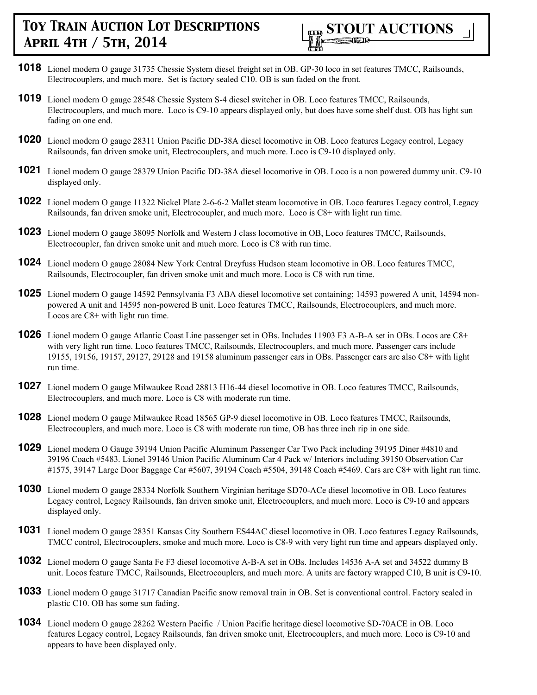

- **1018** Lionel modern O gauge 31735 Chessie System diesel freight set in OB. GP-30 loco in set features TMCC, Railsounds, Electrocouplers, and much more. Set is factory sealed C10. OB is sun faded on the front.
- **1019** Lionel modern O gauge 28548 Chessie System S-4 diesel switcher in OB. Loco features TMCC, Railsounds, Electrocouplers, and much more. Loco is C9-10 appears displayed only, but does have some shelf dust. OB has light sun fading on one end.
- **1020** Lionel modern O gauge 28311 Union Pacific DD-38A diesel locomotive in OB. Loco features Legacy control, Legacy Railsounds, fan driven smoke unit, Electrocouplers, and much more. Loco is C9-10 displayed only.
- **1021** Lionel modern O gauge 28379 Union Pacific DD-38A diesel locomotive in OB. Loco is a non powered dummy unit. C9-10 displayed only.
- **1022** Lionel modern O gauge 11322 Nickel Plate 2-6-6-2 Mallet steam locomotive in OB. Loco features Legacy control, Legacy Railsounds, fan driven smoke unit, Electrocoupler, and much more. Loco is C8+ with light run time.
- **1023** Lionel modern O gauge 38095 Norfolk and Western J class locomotive in OB, Loco features TMCC, Railsounds, Electrocoupler, fan driven smoke unit and much more. Loco is C8 with run time.
- **1024** Lionel modern O gauge 28084 New York Central Dreyfuss Hudson steam locomotive in OB. Loco features TMCC, Railsounds, Electrocoupler, fan driven smoke unit and much more. Loco is C8 with run time.
- **1025** Lionel modern O gauge 14592 Pennsylvania F3 ABA diesel locomotive set containing; 14593 powered A unit, 14594 nonpowered A unit and 14595 non-powered B unit. Loco features TMCC, Railsounds, Electrocouplers, and much more. Locos are C8+ with light run time.
- **1026** Lionel modern O gauge Atlantic Coast Line passenger set in OBs. Includes 11903 F3 A-B-A set in OBs. Locos are C8+ with very light run time. Loco features TMCC, Railsounds, Electrocouplers, and much more. Passenger cars include 19155, 19156, 19157, 29127, 29128 and 19158 aluminum passenger cars in OBs. Passenger cars are also C8+ with light run time.
- **1027** Lionel modern O gauge Milwaukee Road 28813 H16-44 diesel locomotive in OB. Loco features TMCC, Railsounds, Electrocouplers, and much more. Loco is C8 with moderate run time.
- **1028** Lionel modern O gauge Milwaukee Road 18565 GP-9 diesel locomotive in OB. Loco features TMCC, Railsounds, Electrocouplers, and much more. Loco is C8 with moderate run time, OB has three inch rip in one side.
- **1029** Lionel modern O Gauge 39194 Union Pacific Aluminum Passenger Car Two Pack including 39195 Diner #4810 and 39196 Coach #5483. Lionel 39146 Union Pacific Aluminum Car 4 Pack w/ Interiors including 39150 Observation Car #1575, 39147 Large Door Baggage Car #5607, 39194 Coach #5504, 39148 Coach #5469. Cars are C8+ with light run time.
- **1030** Lionel modern O gauge 28334 Norfolk Southern Virginian heritage SD70-ACe diesel locomotive in OB. Loco features Legacy control, Legacy Railsounds, fan driven smoke unit, Electrocouplers, and much more. Loco is C9-10 and appears displayed only.
- **1031** Lionel modern O gauge 28351 Kansas City Southern ES44AC diesel locomotive in OB. Loco features Legacy Railsounds, TMCC control, Electrocouplers, smoke and much more. Loco is C8-9 with very light run time and appears displayed only.
- **1032** Lionel modern O gauge Santa Fe F3 diesel locomotive A-B-A set in OBs. Includes 14536 A-A set and 34522 dummy B unit. Locos feature TMCC, Railsounds, Electrocouplers, and much more. A units are factory wrapped C10, B unit is C9-10.
- **1033** Lionel modern O gauge 31717 Canadian Pacific snow removal train in OB. Set is conventional control. Factory sealed in plastic C10. OB has some sun fading.
- **1034** Lionel modern O gauge 28262 Western Pacific / Union Pacific heritage diesel locomotive SD-70ACE in OB. Loco features Legacy control, Legacy Railsounds, fan driven smoke unit, Electrocouplers, and much more. Loco is C9-10 and appears to have been displayed only.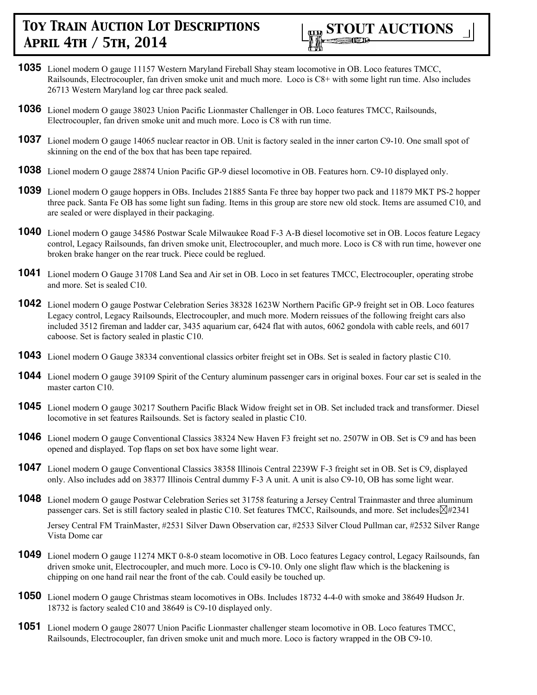

- **1035** Lionel modern O gauge 11157 Western Maryland Fireball Shay steam locomotive in OB. Loco features TMCC, Railsounds, Electrocoupler, fan driven smoke unit and much more. Loco is C8+ with some light run time. Also includes 26713 Western Maryland log car three pack sealed.
- **1036** Lionel modern O gauge 38023 Union Pacific Lionmaster Challenger in OB. Loco features TMCC, Railsounds, Electrocoupler, fan driven smoke unit and much more. Loco is C8 with run time.
- **1037** Lionel modern O gauge 14065 nuclear reactor in OB. Unit is factory sealed in the inner carton C9-10. One small spot of skinning on the end of the box that has been tape repaired.
- **1038** Lionel modern O gauge 28874 Union Pacific GP-9 diesel locomotive in OB. Features horn. C9-10 displayed only.
- **1039** Lionel modern O gauge hoppers in OBs. Includes 21885 Santa Fe three bay hopper two pack and 11879 MKT PS-2 hopper three pack. Santa Fe OB has some light sun fading. Items in this group are store new old stock. Items are assumed C10, and are sealed or were displayed in their packaging.
- **1040** Lionel modern O gauge 34586 Postwar Scale Milwaukee Road F-3 A-B diesel locomotive set in OB. Locos feature Legacy control, Legacy Railsounds, fan driven smoke unit, Electrocoupler, and much more. Loco is C8 with run time, however one broken brake hanger on the rear truck. Piece could be reglued.
- **1041** Lionel modern O Gauge 31708 Land Sea and Air set in OB. Loco in set features TMCC, Electrocoupler, operating strobe and more. Set is sealed C10.
- **1042** Lionel modern O gauge Postwar Celebration Series 38328 1623W Northern Pacific GP-9 freight set in OB. Loco features Legacy control, Legacy Railsounds, Electrocoupler, and much more. Modern reissues of the following freight cars also included 3512 fireman and ladder car, 3435 aquarium car, 6424 flat with autos, 6062 gondola with cable reels, and 6017 caboose. Set is factory sealed in plastic C10.
- **1043** Lionel modern O Gauge 38334 conventional classics orbiter freight set in OBs. Set is sealed in factory plastic C10.
- **1044** Lionel modern O gauge 39109 Spirit of the Century aluminum passenger cars in original boxes. Four car set is sealed in the master carton C10.
- **1045** Lionel modern O gauge 30217 Southern Pacific Black Widow freight set in OB. Set included track and transformer. Diesel locomotive in set features Railsounds. Set is factory sealed in plastic C10.
- **1046** Lionel modern O gauge Conventional Classics 38324 New Haven F3 freight set no. 2507W in OB. Set is C9 and has been opened and displayed. Top flaps on set box have some light wear.
- **1047** Lionel modern O gauge Conventional Classics 38358 Illinois Central 2239W F-3 freight set in OB. Set is C9, displayed only. Also includes add on 38377 Illinois Central dummy F-3 A unit. A unit is also C9-10, OB has some light wear.
- **1048** Lionel modern O gauge Postwar Celebration Series set 31758 featuring a Jersey Central Trainmaster and three aluminum passenger cars. Set is still factory sealed in plastic C10. Set features TMCC, Railsounds, and more. Set includes�#2341

Jersey Central FM TrainMaster, #2531 Silver Dawn Observation car, #2533 Silver Cloud Pullman car, #2532 Silver Range Vista Dome car

- **1049** Lionel modern O gauge 11274 MKT 0-8-0 steam locomotive in OB. Loco features Legacy control, Legacy Railsounds, fan driven smoke unit, Electrocoupler, and much more. Loco is C9-10. Only one slight flaw which is the blackening is chipping on one hand rail near the front of the cab. Could easily be touched up.
- **1050** Lionel modern O gauge Christmas steam locomotives in OBs. Includes 18732 4-4-0 with smoke and 38649 Hudson Jr. 18732 is factory sealed C10 and 38649 is C9-10 displayed only.
- **1051** Lionel modern O gauge 28077 Union Pacific Lionmaster challenger steam locomotive in OB. Loco features TMCC, Railsounds, Electrocoupler, fan driven smoke unit and much more. Loco is factory wrapped in the OB C9-10.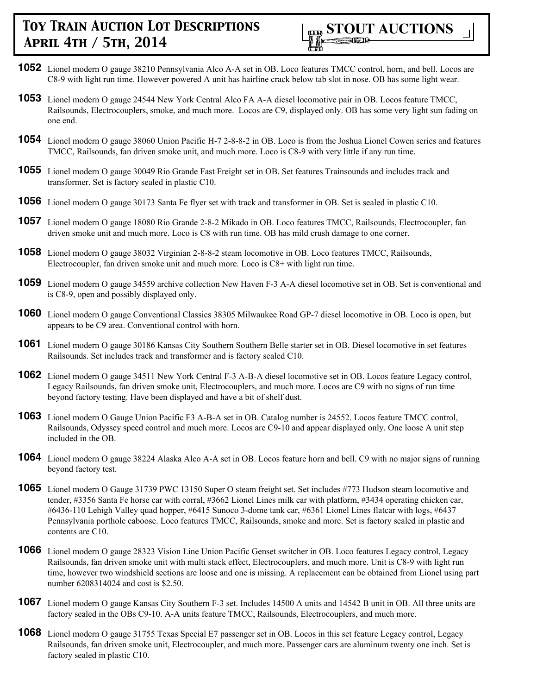

- **1052** Lionel modern O gauge 38210 Pennsylvania Alco A-A set in OB. Loco features TMCC control, horn, and bell. Locos are C8-9 with light run time. However powered A unit has hairline crack below tab slot in nose. OB has some light wear.
- **1053** Lionel modern O gauge 24544 New York Central Alco FA A-A diesel locomotive pair in OB. Locos feature TMCC, Railsounds, Electrocouplers, smoke, and much more. Locos are C9, displayed only. OB has some very light sun fading on one end.
- **1054** Lionel modern O gauge 38060 Union Pacific H-7 2-8-8-2 in OB. Loco is from the Joshua Lionel Cowen series and features TMCC, Railsounds, fan driven smoke unit, and much more. Loco is C8-9 with very little if any run time.
- **1055** Lionel modern O gauge 30049 Rio Grande Fast Freight set in OB. Set features Trainsounds and includes track and transformer. Set is factory sealed in plastic C10.
- **1056** Lionel modern O gauge 30173 Santa Fe flyer set with track and transformer in OB. Set is sealed in plastic C10.
- **1057** Lionel modern O gauge 18080 Rio Grande 2-8-2 Mikado in OB. Loco features TMCC, Railsounds, Electrocoupler, fan driven smoke unit and much more. Loco is C8 with run time. OB has mild crush damage to one corner.
- **1058** Lionel modern O gauge 38032 Virginian 2-8-8-2 steam locomotive in OB. Loco features TMCC, Railsounds, Electrocoupler, fan driven smoke unit and much more. Loco is C8+ with light run time.
- **1059** Lionel modern O gauge 34559 archive collection New Haven F-3 A-A diesel locomotive set in OB. Set is conventional and is C8-9, open and possibly displayed only.
- **1060** Lionel modern O gauge Conventional Classics 38305 Milwaukee Road GP-7 diesel locomotive in OB. Loco is open, but appears to be C9 area. Conventional control with horn.
- **1061** Lionel modern O gauge 30186 Kansas City Southern Southern Belle starter set in OB. Diesel locomotive in set features Railsounds. Set includes track and transformer and is factory sealed C10.
- **1062** Lionel modern O gauge 34511 New York Central F-3 A-B-A diesel locomotive set in OB. Locos feature Legacy control, Legacy Railsounds, fan driven smoke unit, Electrocouplers, and much more. Locos are C9 with no signs of run time beyond factory testing. Have been displayed and have a bit of shelf dust.
- **1063** Lionel modern O Gauge Union Pacific F3 A-B-A set in OB. Catalog number is 24552. Locos feature TMCC control, Railsounds, Odyssey speed control and much more. Locos are C9-10 and appear displayed only. One loose A unit step included in the OB.
- **1064** Lionel modern O gauge 38224 Alaska Alco A-A set in OB. Locos feature horn and bell. C9 with no major signs of running beyond factory test.
- **1065** Lionel modern O Gauge 31739 PWC 13150 Super O steam freight set. Set includes #773 Hudson steam locomotive and tender, #3356 Santa Fe horse car with corral, #3662 Lionel Lines milk car with platform, #3434 operating chicken car, #6436-110 Lehigh Valley quad hopper, #6415 Sunoco 3-dome tank car, #6361 Lionel Lines flatcar with logs, #6437 Pennsylvania porthole caboose. Loco features TMCC, Railsounds, smoke and more. Set is factory sealed in plastic and contents are C10.
- **1066** Lionel modern O gauge 28323 Vision Line Union Pacific Genset switcher in OB. Loco features Legacy control, Legacy Railsounds, fan driven smoke unit with multi stack effect, Electrocouplers, and much more. Unit is C8-9 with light run time, however two windshield sections are loose and one is missing. A replacement can be obtained from Lionel using part number 6208314024 and cost is \$2.50.
- **1067** Lionel modern O gauge Kansas City Southern F-3 set. Includes 14500 A units and 14542 B unit in OB. All three units are factory sealed in the OBs C9-10. A-A units feature TMCC, Railsounds, Electrocouplers, and much more.
- **1068** Lionel modern O gauge 31755 Texas Special E7 passenger set in OB. Locos in this set feature Legacy control, Legacy Railsounds, fan driven smoke unit, Electrocoupler, and much more. Passenger cars are aluminum twenty one inch. Set is factory sealed in plastic C10.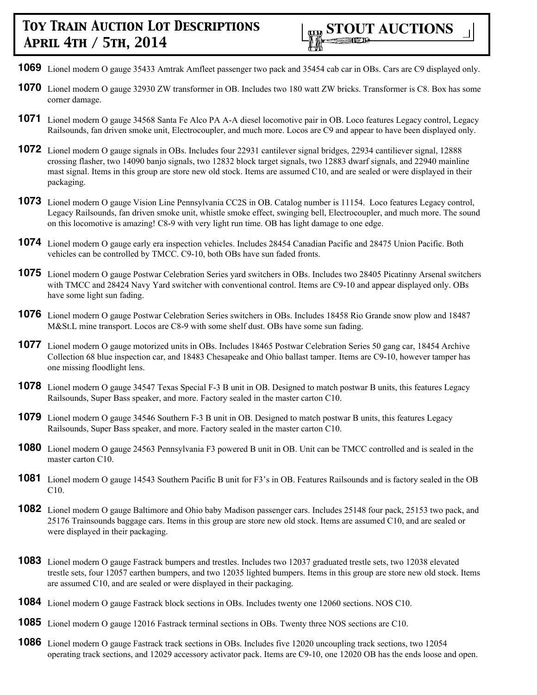- **1069** Lionel modern O gauge 35433 Amtrak Amfleet passenger two pack and 35454 cab car in OBs. Cars are C9 displayed only.
- **1070** Lionel modern O gauge 32930 ZW transformer in OB. Includes two 180 watt ZW bricks. Transformer is C8. Box has some corner damage.
- **1071** Lionel modern O gauge 34568 Santa Fe Alco PA A-A diesel locomotive pair in OB. Loco features Legacy control, Legacy Railsounds, fan driven smoke unit, Electrocoupler, and much more. Locos are C9 and appear to have been displayed only.
- **1072** Lionel modern O gauge signals in OBs. Includes four 22931 cantilever signal bridges, 22934 cantiliever signal, 12888 crossing flasher, two 14090 banjo signals, two 12832 block target signals, two 12883 dwarf signals, and 22940 mainline mast signal. Items in this group are store new old stock. Items are assumed C10, and are sealed or were displayed in their packaging.
- **1073** Lionel modern O gauge Vision Line Pennsylvania CC2S in OB. Catalog number is 11154. Loco features Legacy control, Legacy Railsounds, fan driven smoke unit, whistle smoke effect, swinging bell, Electrocoupler, and much more. The sound on this locomotive is amazing! C8-9 with very light run time. OB has light damage to one edge.
- **1074** Lionel modern O gauge early era inspection vehicles. Includes 28454 Canadian Pacific and 28475 Union Pacific. Both vehicles can be controlled by TMCC. C9-10, both OBs have sun faded fronts.
- **1075** Lionel modern O gauge Postwar Celebration Series yard switchers in OBs. Includes two 28405 Picatinny Arsenal switchers with TMCC and 28424 Navy Yard switcher with conventional control. Items are C9-10 and appear displayed only. OBs have some light sun fading.
- **1076** Lionel modern O gauge Postwar Celebration Series switchers in OBs. Includes 18458 Rio Grande snow plow and 18487 M&St.L mine transport. Locos are C8-9 with some shelf dust. OBs have some sun fading.
- **1077** Lionel modern O gauge motorized units in OBs. Includes 18465 Postwar Celebration Series 50 gang car, 18454 Archive Collection 68 blue inspection car, and 18483 Chesapeake and Ohio ballast tamper. Items are C9-10, however tamper has one missing floodlight lens.
- **1078** Lionel modern O gauge 34547 Texas Special F-3 B unit in OB. Designed to match postwar B units, this features Legacy Railsounds, Super Bass speaker, and more. Factory sealed in the master carton C10.
- **1079** Lionel modern O gauge 34546 Southern F-3 B unit in OB. Designed to match postwar B units, this features Legacy Railsounds, Super Bass speaker, and more. Factory sealed in the master carton C10.
- **1080** Lionel modern O gauge 24563 Pennsylvania F3 powered B unit in OB. Unit can be TMCC controlled and is sealed in the master carton C10.
- **1081** Lionel modern O gauge 14543 Southern Pacific B unit for F3's in OB. Features Railsounds and is factory sealed in the OB C10.
- **1082** Lionel modern O gauge Baltimore and Ohio baby Madison passenger cars. Includes 25148 four pack, 25153 two pack, and 25176 Trainsounds baggage cars. Items in this group are store new old stock. Items are assumed C10, and are sealed or were displayed in their packaging.
- **1083** Lionel modern O gauge Fastrack bumpers and trestles. Includes two 12037 graduated trestle sets, two 12038 elevated trestle sets, four 12057 earthen bumpers, and two 12035 lighted bumpers. Items in this group are store new old stock. Items are assumed C10, and are sealed or were displayed in their packaging.
- **1084** Lionel modern O gauge Fastrack block sections in OBs. Includes twenty one 12060 sections. NOS C10.
- **1085** Lionel modern O gauge 12016 Fastrack terminal sections in OBs. Twenty three NOS sections are C10.
- **1086** Lionel modern O gauge Fastrack track sections in OBs. Includes five 12020 uncoupling track sections, two 12054 operating track sections, and 12029 accessory activator pack. Items are C9-10, one 12020 OB has the ends loose and open.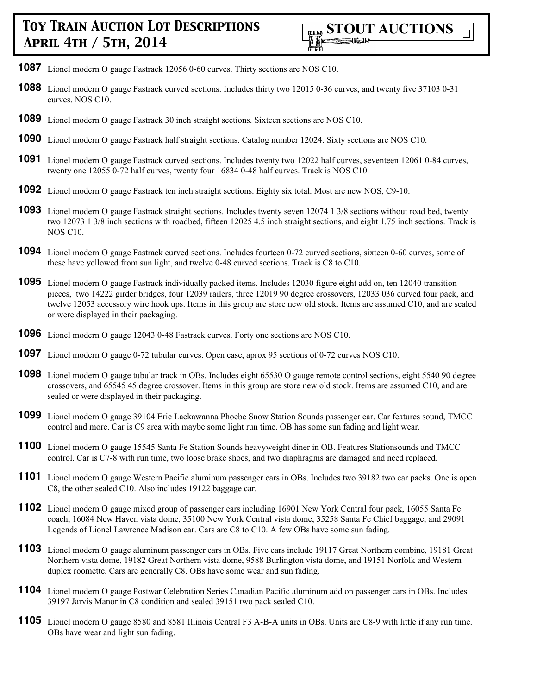- **1087** Lionel modern O gauge Fastrack 12056 0-60 curves. Thirty sections are NOS C10.
- **1088** Lionel modern O gauge Fastrack curved sections. Includes thirty two 12015 0-36 curves, and twenty five 37103 0-31 curves. NOS C10.
- **1089** Lionel modern O gauge Fastrack 30 inch straight sections. Sixteen sections are NOS C10.
- **1090** Lionel modern O gauge Fastrack half straight sections. Catalog number 12024. Sixty sections are NOS C10.
- **1091** Lionel modern O gauge Fastrack curved sections. Includes twenty two 12022 half curves, seventeen 12061 0-84 curves, twenty one 12055 0-72 half curves, twenty four 16834 0-48 half curves. Track is NOS C10.
- **1092** Lionel modern O gauge Fastrack ten inch straight sections. Eighty six total. Most are new NOS, C9-10.
- **1093** Lionel modern O gauge Fastrack straight sections. Includes twenty seven 12074 1 3/8 sections without road bed, twenty two 12073 1 3/8 inch sections with roadbed, fifteen 12025 4.5 inch straight sections, and eight 1.75 inch sections. Track is NOS C10.
- **1094** Lionel modern O gauge Fastrack curved sections. Includes fourteen 0-72 curved sections, sixteen 0-60 curves, some of these have yellowed from sun light, and twelve 0-48 curved sections. Track is C8 to C10.
- **1095** Lionel modern O gauge Fastrack individually packed items. Includes 12030 figure eight add on, ten 12040 transition pieces, two 14222 girder bridges, four 12039 railers, three 12019 90 degree crossovers, 12033 036 curved four pack, and twelve 12053 accessory wire hook ups. Items in this group are store new old stock. Items are assumed C10, and are sealed or were displayed in their packaging.
- **1096** Lionel modern O gauge 12043 0-48 Fastrack curves. Forty one sections are NOS C10.
- **1097** Lionel modern O gauge 0-72 tubular curves. Open case, aprox 95 sections of 0-72 curves NOS C10.
- **1098** Lionel modern O gauge tubular track in OBs. Includes eight 65530 O gauge remote control sections, eight 5540 90 degree crossovers, and 65545 45 degree crossover. Items in this group are store new old stock. Items are assumed C10, and are sealed or were displayed in their packaging.
- **1099** Lionel modern O gauge 39104 Erie Lackawanna Phoebe Snow Station Sounds passenger car. Car features sound, TMCC control and more. Car is C9 area with maybe some light run time. OB has some sun fading and light wear.
- **1100** Lionel modern O gauge 15545 Santa Fe Station Sounds heavyweight diner in OB. Features Stationsounds and TMCC control. Car is C7-8 with run time, two loose brake shoes, and two diaphragms are damaged and need replaced.
- **1101** Lionel modern O gauge Western Pacific aluminum passenger cars in OBs. Includes two 39182 two car packs. One is open C8, the other sealed C10. Also includes 19122 baggage car.
- **1102** Lionel modern O gauge mixed group of passenger cars including 16901 New York Central four pack, 16055 Santa Fe coach, 16084 New Haven vista dome, 35100 New York Central vista dome, 35258 Santa Fe Chief baggage, and 29091 Legends of Lionel Lawrence Madison car. Cars are C8 to C10. A few OBs have some sun fading.
- **1103** Lionel modern O gauge aluminum passenger cars in OBs. Five cars include 19117 Great Northern combine, 19181 Great Northern vista dome, 19182 Great Northern vista dome, 9588 Burlington vista dome, and 19151 Norfolk and Western duplex roomette. Cars are generally C8. OBs have some wear and sun fading.
- **1104** Lionel modern O gauge Postwar Celebration Series Canadian Pacific aluminum add on passenger cars in OBs. Includes 39197 Jarvis Manor in C8 condition and sealed 39151 two pack sealed C10.
- **1105** Lionel modern O gauge 8580 and 8581 Illinois Central F3 A-B-A units in OBs. Units are C8-9 with little if any run time. OBs have wear and light sun fading.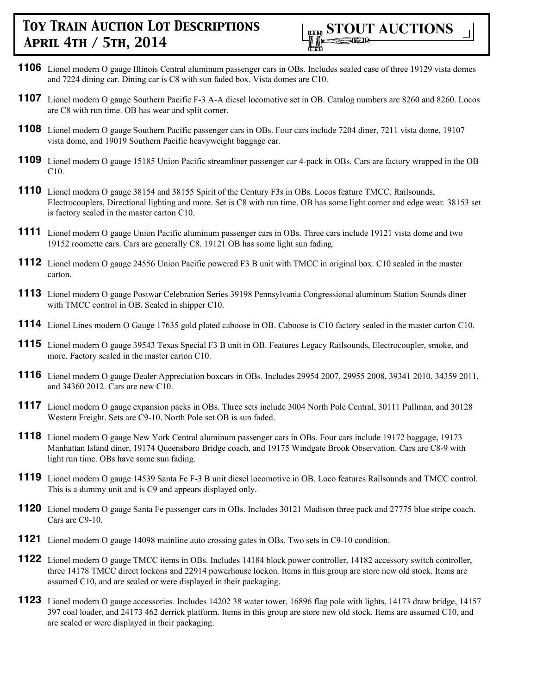

- **1106** Lionel modern O gauge Illinois Central aluminum passenger cars in OBs. Includes sealed case of three 19129 vista domes and 7224 dining car. Dining car is C8 with sun faded box. Vista domes are C10.
- **1107** Lionel modern O gauge Southern Pacific F-3 A-A diesel locomotive set in OB. Catalog numbers are 8260 and 8260. Locos are C8 with run time. OB has wear and split corner.
- **1108** Lionel modern O gauge Southern Pacific passenger cars in OBs. Four cars include 7204 diner, 7211 vista dome, 19107 vista dome, and 19019 Southern Pacific heavyweight baggage car.
- **1109** Lionel modern O gauge 15185 Union Pacific streamliner passenger car 4-pack in OBs. Cars are factory wrapped in the OB C10.
- **1110** Lionel modern O gauge 38154 and 38155 Spirit of the Century F3s in OBs. Locos feature TMCC, Railsounds, Electrocouplers, Directional lighting and more. Set is C8 with run time. OB has some light corner and edge wear. 38153 set is factory sealed in the master carton C10.
- **1111** Lionel modern O gauge Union Pacific aluminum passenger cars in OBs. Three cars include 19121 vista dome and two 19152 roomette cars. Cars are generally C8. 19121 OB has some light sun fading.
- **1112** Lionel modern O gauge 24556 Union Pacific powered F3 B unit with TMCC in original box. C10 sealed in the master carton.
- **1113** Lionel modern O gauge Postwar Celebration Series 39198 Pennsylvania Congressional aluminum Station Sounds diner with TMCC control in OB. Sealed in shipper C10.
- **1114** Lionel Lines modern O Gauge 17635 gold plated caboose in OB. Caboose is C10 factory sealed in the master carton C10.
- **1115** Lionel modern O gauge 39543 Texas Special F3 B unit in OB. Features Legacy Railsounds, Electrocoupler, smoke, and more. Factory sealed in the master carton C10.
- **1116** Lionel modern O gauge Dealer Appreciation boxcars in OBs. Includes 29954 2007, 29955 2008, 39341 2010, 34359 2011, and 34360 2012. Cars are new C10.
- **1117** Lionel modern O gauge expansion packs in OBs. Three sets include 3004 North Pole Central, 30111 Pullman, and 30128 Western Freight. Sets are C9-10. North Pole set OB is sun faded.
- **1118** Lionel modern O gauge New York Central aluminum passenger cars in OBs. Four cars include 19172 baggage, 19173 Manhattan Island diner, 19174 Queensboro Bridge coach, and 19175 Windgate Brook Observation. Cars are C8-9 with light run time. OBs have some sun fading.
- **1119** Lionel modern O gauge 14539 Santa Fe F-3 B unit diesel locomotive in OB. Loco features Railsounds and TMCC control. This is a dummy unit and is C9 and appears displayed only.
- **1120** Lionel modern O gauge Santa Fe passenger cars in OBs. Includes 30121 Madison three pack and 27775 blue stripe coach. Cars are C9-10.
- **1121** Lionel modern O gauge 14098 mainline auto crossing gates in OBs. Two sets in C9-10 condition.
- **1122** Lionel modern O gauge TMCC items in OBs. Includes 14184 block power controller, 14182 accessory switch controller, three 14178 TMCC direct lockons and 22914 powerhouse lockon. Items in this group are store new old stock. Items are assumed C10, and are sealed or were displayed in their packaging.
- **1123** Lionel modern O gauge accessories. Includes 14202 38 water tower, 16896 flag pole with lights, 14173 draw bridge, 14157 397 coal loader, and 24173 462 derrick platform. Items in this group are store new old stock. Items are assumed C10, and are sealed or were displayed in their packaging.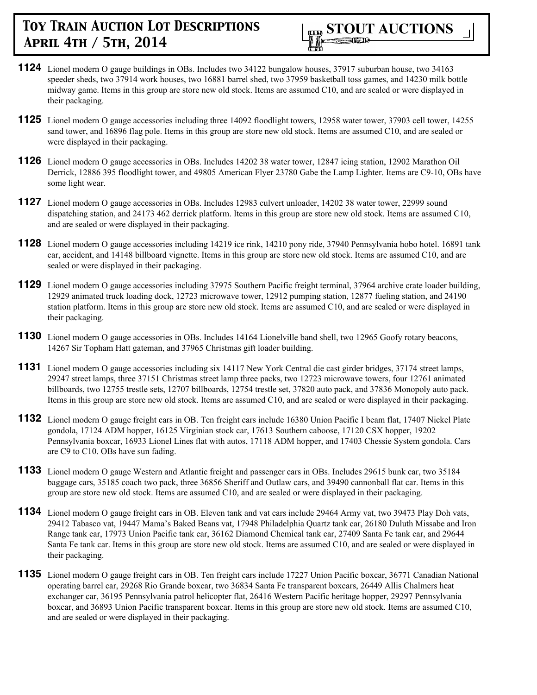

- **1124** Lionel modern O gauge buildings in OBs. Includes two 34122 bungalow houses, 37917 suburban house, two 34163 speeder sheds, two 37914 work houses, two 16881 barrel shed, two 37959 basketball toss games, and 14230 milk bottle midway game. Items in this group are store new old stock. Items are assumed C10, and are sealed or were displayed in their packaging.
- **1125** Lionel modern O gauge accessories including three 14092 floodlight towers, 12958 water tower, 37903 cell tower, 14255 sand tower, and 16896 flag pole. Items in this group are store new old stock. Items are assumed C10, and are sealed or were displayed in their packaging.
- **1126** Lionel modern O gauge accessories in OBs. Includes 14202 38 water tower, 12847 icing station, 12902 Marathon Oil Derrick, 12886 395 floodlight tower, and 49805 American Flyer 23780 Gabe the Lamp Lighter. Items are C9-10, OBs have some light wear.
- **1127** Lionel modern O gauge accessories in OBs. Includes 12983 culvert unloader, 14202 38 water tower, 22999 sound dispatching station, and 24173 462 derrick platform. Items in this group are store new old stock. Items are assumed C10, and are sealed or were displayed in their packaging.
- **1128** Lionel modern O gauge accessories including 14219 ice rink, 14210 pony ride, 37940 Pennsylvania hobo hotel. 16891 tank car, accident, and 14148 billboard vignette. Items in this group are store new old stock. Items are assumed C10, and are sealed or were displayed in their packaging.
- **1129** Lionel modern O gauge accessories including 37975 Southern Pacific freight terminal, 37964 archive crate loader building, 12929 animated truck loading dock, 12723 microwave tower, 12912 pumping station, 12877 fueling station, and 24190 station platform. Items in this group are store new old stock. Items are assumed C10, and are sealed or were displayed in their packaging.
- **1130** Lionel modern O gauge accessories in OBs. Includes 14164 Lionelville band shell, two 12965 Goofy rotary beacons, 14267 Sir Topham Hatt gateman, and 37965 Christmas gift loader building.
- **1131** Lionel modern O gauge accessories including six 14117 New York Central die cast girder bridges, 37174 street lamps, 29247 street lamps, three 37151 Christmas street lamp three packs, two 12723 microwave towers, four 12761 animated billboards, two 12755 trestle sets, 12707 billboards, 12754 trestle set, 37820 auto pack, and 37836 Monopoly auto pack. Items in this group are store new old stock. Items are assumed C10, and are sealed or were displayed in their packaging.
- **1132** Lionel modern O gauge freight cars in OB. Ten freight cars include 16380 Union Pacific I beam flat, 17407 Nickel Plate gondola, 17124 ADM hopper, 16125 Virginian stock car, 17613 Southern caboose, 17120 CSX hopper, 19202 Pennsylvania boxcar, 16933 Lionel Lines flat with autos, 17118 ADM hopper, and 17403 Chessie System gondola. Cars are C9 to C10. OBs have sun fading.
- **1133** Lionel modern O gauge Western and Atlantic freight and passenger cars in OBs. Includes 29615 bunk car, two 35184 baggage cars, 35185 coach two pack, three 36856 Sheriff and Outlaw cars, and 39490 cannonball flat car. Items in this group are store new old stock. Items are assumed C10, and are sealed or were displayed in their packaging.
- **1134** Lionel modern O gauge freight cars in OB. Eleven tank and vat cars include 29464 Army vat, two 39473 Play Doh vats, 29412 Tabasco vat, 19447 Mama's Baked Beans vat, 17948 Philadelphia Quartz tank car, 26180 Duluth Missabe and Iron Range tank car, 17973 Union Pacific tank car, 36162 Diamond Chemical tank car, 27409 Santa Fe tank car, and 29644 Santa Fe tank car. Items in this group are store new old stock. Items are assumed C10, and are sealed or were displayed in their packaging.
- **1135** Lionel modern O gauge freight cars in OB. Ten freight cars include 17227 Union Pacific boxcar, 36771 Canadian National operating barrel car, 29268 Rio Grande boxcar, two 36834 Santa Fe transparent boxcars, 26449 Allis Chalmers heat exchanger car, 36195 Pennsylvania patrol helicopter flat, 26416 Western Pacific heritage hopper, 29297 Pennsylvania boxcar, and 36893 Union Pacific transparent boxcar. Items in this group are store new old stock. Items are assumed C10, and are sealed or were displayed in their packaging.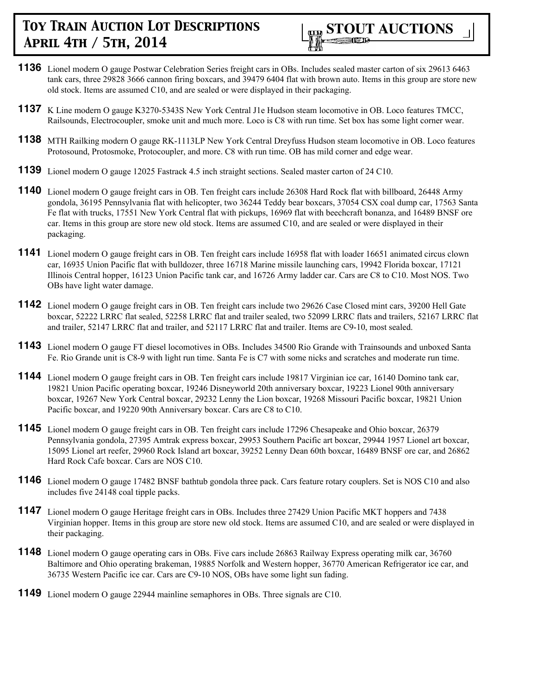- **1136** Lionel modern O gauge Postwar Celebration Series freight cars in OBs. Includes sealed master carton of six 29613 6463 tank cars, three 29828 3666 cannon firing boxcars, and 39479 6404 flat with brown auto. Items in this group are store new old stock. Items are assumed C10, and are sealed or were displayed in their packaging.
- **1137** K Line modern O gauge K3270-5343S New York Central J1e Hudson steam locomotive in OB. Loco features TMCC, Railsounds, Electrocoupler, smoke unit and much more. Loco is C8 with run time. Set box has some light corner wear.
- **1138** MTH Railking modern O gauge RK-1113LP New York Central Dreyfuss Hudson steam locomotive in OB. Loco features Protosound, Protosmoke, Protocoupler, and more. C8 with run time. OB has mild corner and edge wear.
- **1139** Lionel modern O gauge 12025 Fastrack 4.5 inch straight sections. Sealed master carton of 24 C10.
- **1140** Lionel modern O gauge freight cars in OB. Ten freight cars include 26308 Hard Rock flat with billboard, 26448 Army gondola, 36195 Pennsylvania flat with helicopter, two 36244 Teddy bear boxcars, 37054 CSX coal dump car, 17563 Santa Fe flat with trucks, 17551 New York Central flat with pickups, 16969 flat with beechcraft bonanza, and 16489 BNSF ore car. Items in this group are store new old stock. Items are assumed C10, and are sealed or were displayed in their packaging.
- **1141** Lionel modern O gauge freight cars in OB. Ten freight cars include 16958 flat with loader 16651 animated circus clown car, 16935 Union Pacific flat with bulldozer, three 16718 Marine missile launching cars, 19942 Florida boxcar, 17121 Illinois Central hopper, 16123 Union Pacific tank car, and 16726 Army ladder car. Cars are C8 to C10. Most NOS. Two OBs have light water damage.
- **1142** Lionel modern O gauge freight cars in OB. Ten freight cars include two 29626 Case Closed mint cars, 39200 Hell Gate boxcar, 52222 LRRC flat sealed, 52258 LRRC flat and trailer sealed, two 52099 LRRC flats and trailers, 52167 LRRC flat and trailer, 52147 LRRC flat and trailer, and 52117 LRRC flat and trailer. Items are C9-10, most sealed.
- **1143** Lionel modern O gauge FT diesel locomotives in OBs. Includes 34500 Rio Grande with Trainsounds and unboxed Santa Fe. Rio Grande unit is C8-9 with light run time. Santa Fe is C7 with some nicks and scratches and moderate run time.
- **1144** Lionel modern O gauge freight cars in OB. Ten freight cars include 19817 Virginian ice car, 16140 Domino tank car, 19821 Union Pacific operating boxcar, 19246 Disneyworld 20th anniversary boxcar, 19223 Lionel 90th anniversary boxcar, 19267 New York Central boxcar, 29232 Lenny the Lion boxcar, 19268 Missouri Pacific boxcar, 19821 Union Pacific boxcar, and 19220 90th Anniversary boxcar. Cars are C8 to C10.
- **1145** Lionel modern O gauge freight cars in OB. Ten freight cars include 17296 Chesapeake and Ohio boxcar, 26379 Pennsylvania gondola, 27395 Amtrak express boxcar, 29953 Southern Pacific art boxcar, 29944 1957 Lionel art boxcar, 15095 Lionel art reefer, 29960 Rock Island art boxcar, 39252 Lenny Dean 60th boxcar, 16489 BNSF ore car, and 26862 Hard Rock Cafe boxcar. Cars are NOS C10.
- **1146** Lionel modern O gauge 17482 BNSF bathtub gondola three pack. Cars feature rotary couplers. Set is NOS C10 and also includes five 24148 coal tipple packs.
- **1147** Lionel modern O gauge Heritage freight cars in OBs. Includes three 27429 Union Pacific MKT hoppers and 7438 Virginian hopper. Items in this group are store new old stock. Items are assumed C10, and are sealed or were displayed in their packaging.
- **1148** Lionel modern O gauge operating cars in OBs. Five cars include 26863 Railway Express operating milk car, 36760 Baltimore and Ohio operating brakeman, 19885 Norfolk and Western hopper, 36770 American Refrigerator ice car, and 36735 Western Pacific ice car. Cars are C9-10 NOS, OBs have some light sun fading.
- **1149** Lionel modern O gauge 22944 mainline semaphores in OBs. Three signals are C10.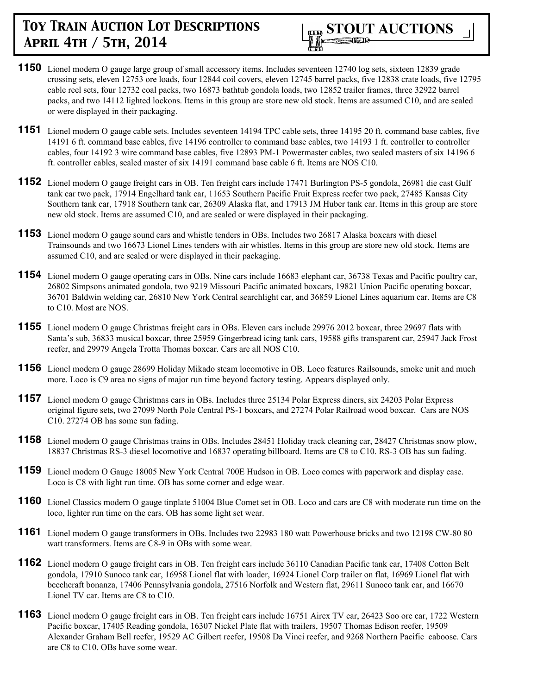

- **1150** Lionel modern O gauge large group of small accessory items. Includes seventeen 12740 log sets, sixteen 12839 grade crossing sets, eleven 12753 ore loads, four 12844 coil covers, eleven 12745 barrel packs, five 12838 crate loads, five 12795 cable reel sets, four 12732 coal packs, two 16873 bathtub gondola loads, two 12852 trailer frames, three 32922 barrel packs, and two 14112 lighted lockons. Items in this group are store new old stock. Items are assumed C10, and are sealed or were displayed in their packaging.
- **1151** Lionel modern O gauge cable sets. Includes seventeen 14194 TPC cable sets, three 14195 20 ft. command base cables, five 14191 6 ft. command base cables, five 14196 controller to command base cables, two 14193 1 ft. controller to controller cables, four 14192 3 wire command base cables, five 12893 PM-1 Powermaster cables, two sealed masters of six 14196 6 ft. controller cables, sealed master of six 14191 command base cable 6 ft. Items are NOS C10.
- **1152** Lionel modern O gauge freight cars in OB. Ten freight cars include 17471 Burlington PS-5 gondola, 26981 die cast Gulf tank car two pack, 17914 Engelhard tank car, 11653 Southern Pacific Fruit Express reefer two pack, 27485 Kansas City Southern tank car, 17918 Southern tank car, 26309 Alaska flat, and 17913 JM Huber tank car. Items in this group are store new old stock. Items are assumed C10, and are sealed or were displayed in their packaging.
- **1153** Lionel modern O gauge sound cars and whistle tenders in OBs. Includes two 26817 Alaska boxcars with diesel Trainsounds and two 16673 Lionel Lines tenders with air whistles. Items in this group are store new old stock. Items are assumed C10, and are sealed or were displayed in their packaging.
- **1154** Lionel modern O gauge operating cars in OBs. Nine cars include 16683 elephant car, 36738 Texas and Pacific poultry car, 26802 Simpsons animated gondola, two 9219 Missouri Pacific animated boxcars, 19821 Union Pacific operating boxcar, 36701 Baldwin welding car, 26810 New York Central searchlight car, and 36859 Lionel Lines aquarium car. Items are C8 to C10. Most are NOS.
- **1155** Lionel modern O gauge Christmas freight cars in OBs. Eleven cars include 29976 2012 boxcar, three 29697 flats with Santa's sub, 36833 musical boxcar, three 25959 Gingerbread icing tank cars, 19588 gifts transparent car, 25947 Jack Frost reefer, and 29979 Angela Trotta Thomas boxcar. Cars are all NOS C10.
- **1156** Lionel modern O gauge 28699 Holiday Mikado steam locomotive in OB. Loco features Railsounds, smoke unit and much more. Loco is C9 area no signs of major run time beyond factory testing. Appears displayed only.
- **1157** Lionel modern O gauge Christmas cars in OBs. Includes three 25134 Polar Express diners, six 24203 Polar Express original figure sets, two 27099 North Pole Central PS-1 boxcars, and 27274 Polar Railroad wood boxcar. Cars are NOS C10. 27274 OB has some sun fading.
- **1158** Lionel modern O gauge Christmas trains in OBs. Includes 28451 Holiday track cleaning car, 28427 Christmas snow plow, 18837 Christmas RS-3 diesel locomotive and 16837 operating billboard. Items are C8 to C10. RS-3 OB has sun fading.
- **1159** Lionel modern O Gauge 18005 New York Central 700E Hudson in OB. Loco comes with paperwork and display case. Loco is C8 with light run time. OB has some corner and edge wear.
- **1160** Lionel Classics modern O gauge tinplate 51004 Blue Comet set in OB. Loco and cars are C8 with moderate run time on the loco, lighter run time on the cars. OB has some light set wear.
- **1161** Lionel modern O gauge transformers in OBs. Includes two 22983 180 watt Powerhouse bricks and two 12198 CW-80 80 watt transformers. Items are C8-9 in OBs with some wear.
- **1162** Lionel modern O gauge freight cars in OB. Ten freight cars include 36110 Canadian Pacific tank car, 17408 Cotton Belt gondola, 17910 Sunoco tank car, 16958 Lionel flat with loader, 16924 Lionel Corp trailer on flat, 16969 Lionel flat with beechcraft bonanza, 17406 Pennsylvania gondola, 27516 Norfolk and Western flat, 29611 Sunoco tank car, and 16670 Lionel TV car. Items are C8 to C10.
- **1163** Lionel modern O gauge freight cars in OB. Ten freight cars include 16751 Airex TV car, 26423 Soo ore car, 1722 Western Pacific boxcar, 17405 Reading gondola, 16307 Nickel Plate flat with trailers, 19507 Thomas Edison reefer, 19509 Alexander Graham Bell reefer, 19529 AC Gilbert reefer, 19508 Da Vinci reefer, and 9268 Northern Pacific caboose. Cars are C8 to C10. OBs have some wear.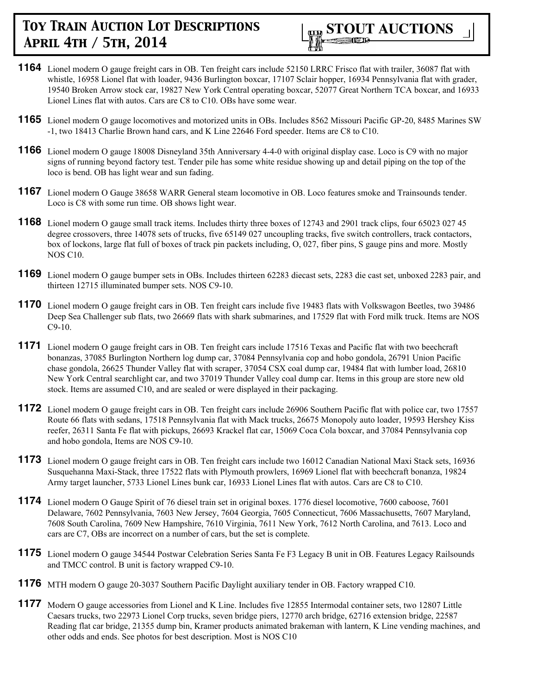

- **1164** Lionel modern O gauge freight cars in OB. Ten freight cars include 52150 LRRC Frisco flat with trailer, 36087 flat with whistle, 16958 Lionel flat with loader, 9436 Burlington boxcar, 17107 Sclair hopper, 16934 Pennsylvania flat with grader, 19540 Broken Arrow stock car, 19827 New York Central operating boxcar, 52077 Great Northern TCA boxcar, and 16933 Lionel Lines flat with autos. Cars are C8 to C10. OBs have some wear.
- **1165** Lionel modern O gauge locomotives and motorized units in OBs. Includes 8562 Missouri Pacific GP-20, 8485 Marines SW -1, two 18413 Charlie Brown hand cars, and K Line 22646 Ford speeder. Items are C8 to C10.
- **1166** Lionel modern O gauge 18008 Disneyland 35th Anniversary 4-4-0 with original display case. Loco is C9 with no major signs of running beyond factory test. Tender pile has some white residue showing up and detail piping on the top of the loco is bend. OB has light wear and sun fading.
- **1167** Lionel modern O Gauge 38658 WARR General steam locomotive in OB. Loco features smoke and Trainsounds tender. Loco is C8 with some run time. OB shows light wear.
- **1168** Lionel modern O gauge small track items. Includes thirty three boxes of 12743 and 2901 track clips, four 65023 027 45 degree crossovers, three 14078 sets of trucks, five 65149 027 uncoupling tracks, five switch controllers, track contactors, box of lockons, large flat full of boxes of track pin packets including, O, 027, fiber pins, S gauge pins and more. Mostly NOS C10.
- **1169** Lionel modern O gauge bumper sets in OBs. Includes thirteen 62283 diecast sets, 2283 die cast set, unboxed 2283 pair, and thirteen 12715 illuminated bumper sets. NOS C9-10.
- **1170** Lionel modern O gauge freight cars in OB. Ten freight cars include five 19483 flats with Volkswagon Beetles, two 39486 Deep Sea Challenger sub flats, two 26669 flats with shark submarines, and 17529 flat with Ford milk truck. Items are NOS C9-10.
- **1171** Lionel modern O gauge freight cars in OB. Ten freight cars include 17516 Texas and Pacific flat with two beechcraft bonanzas, 37085 Burlington Northern log dump car, 37084 Pennsylvania cop and hobo gondola, 26791 Union Pacific chase gondola, 26625 Thunder Valley flat with scraper, 37054 CSX coal dump car, 19484 flat with lumber load, 26810 New York Central searchlight car, and two 37019 Thunder Valley coal dump car. Items in this group are store new old stock. Items are assumed C10, and are sealed or were displayed in their packaging.
- **1172** Lionel modern O gauge freight cars in OB. Ten freight cars include 26906 Southern Pacific flat with police car, two 17557 Route 66 flats with sedans, 17518 Pennsylvania flat with Mack trucks, 26675 Monopoly auto loader, 19593 Hershey Kiss reefer, 26311 Santa Fe flat with pickups, 26693 Krackel flat car, 15069 Coca Cola boxcar, and 37084 Pennsylvania cop and hobo gondola, Items are NOS C9-10.
- **1173** Lionel modern O gauge freight cars in OB. Ten freight cars include two 16012 Canadian National Maxi Stack sets, 16936 Susquehanna Maxi-Stack, three 17522 flats with Plymouth prowlers, 16969 Lionel flat with beechcraft bonanza, 19824 Army target launcher, 5733 Lionel Lines bunk car, 16933 Lionel Lines flat with autos. Cars are C8 to C10.
- **1174** Lionel modern O Gauge Spirit of 76 diesel train set in original boxes. 1776 diesel locomotive, 7600 caboose, 7601 Delaware, 7602 Pennsylvania, 7603 New Jersey, 7604 Georgia, 7605 Connecticut, 7606 Massachusetts, 7607 Maryland, 7608 South Carolina, 7609 New Hampshire, 7610 Virginia, 7611 New York, 7612 North Carolina, and 7613. Loco and cars are C7, OBs are incorrect on a number of cars, but the set is complete.
- **1175** Lionel modern O gauge 34544 Postwar Celebration Series Santa Fe F3 Legacy B unit in OB. Features Legacy Railsounds and TMCC control. B unit is factory wrapped C9-10.
- **1176** MTH modern O gauge 20-3037 Southern Pacific Daylight auxiliary tender in OB. Factory wrapped C10.
- **1177** Modern O gauge accessories from Lionel and K Line. Includes five 12855 Intermodal container sets, two 12807 Little Caesars trucks, two 22973 Lionel Corp trucks, seven bridge piers, 12770 arch bridge, 62716 extension bridge, 22587 Reading flat car bridge, 21355 dump bin, Kramer products animated brakeman with lantern, K Line vending machines, and other odds and ends. See photos for best description. Most is NOS C10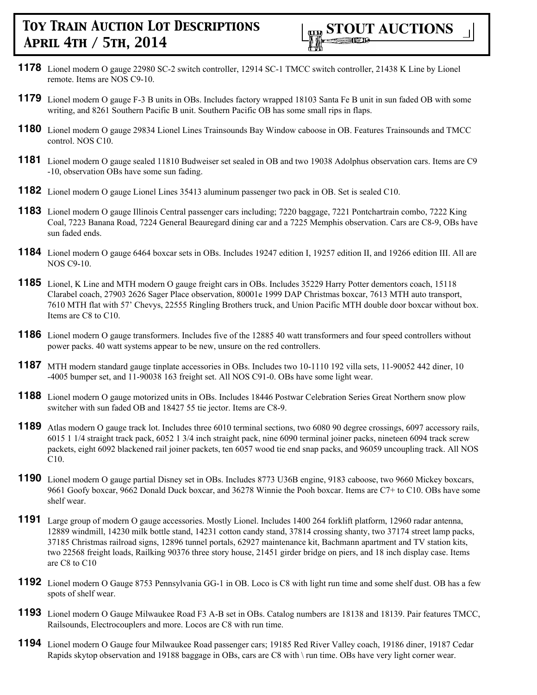- **1178** Lionel modern O gauge 22980 SC-2 switch controller, 12914 SC-1 TMCC switch controller, 21438 K Line by Lionel remote. Items are NOS C9-10.
- **1179** Lionel modern O gauge F-3 B units in OBs. Includes factory wrapped 18103 Santa Fe B unit in sun faded OB with some writing, and 8261 Southern Pacific B unit. Southern Pacific OB has some small rips in flaps.
- **1180** Lionel modern O gauge 29834 Lionel Lines Trainsounds Bay Window caboose in OB. Features Trainsounds and TMCC control. NOS C10.
- **1181** Lionel modern O gauge sealed 11810 Budweiser set sealed in OB and two 19038 Adolphus observation cars. Items are C9 -10, observation OBs have some sun fading.
- **1182** Lionel modern O gauge Lionel Lines 35413 aluminum passenger two pack in OB. Set is sealed C10.
- **1183** Lionel modern O gauge Illinois Central passenger cars including; 7220 baggage, 7221 Pontchartrain combo, 7222 King Coal, 7223 Banana Road, 7224 General Beauregard dining car and a 7225 Memphis observation. Cars are C8-9, OBs have sun faded ends.
- **1184** Lionel modern O gauge 6464 boxcar sets in OBs. Includes 19247 edition I, 19257 edition II, and 19266 edition III. All are NOS C9-10.
- **1185** Lionel, K Line and MTH modern O gauge freight cars in OBs. Includes 35229 Harry Potter dementors coach, 15118 Clarabel coach, 27903 2626 Sager Place observation, 80001e 1999 DAP Christmas boxcar, 7613 MTH auto transport, 7610 MTH flat with 57' Chevys, 22555 Ringling Brothers truck, and Union Pacific MTH double door boxcar without box. Items are C8 to C10.
- **1186** Lionel modern O gauge transformers. Includes five of the 12885 40 watt transformers and four speed controllers without power packs. 40 watt systems appear to be new, unsure on the red controllers.
- **1187** MTH modern standard gauge tinplate accessories in OBs. Includes two 10-1110 192 villa sets, 11-90052 442 diner, 10 -4005 bumper set, and 11-90038 163 freight set. All NOS C91-0. OBs have some light wear.
- **1188** Lionel modern O gauge motorized units in OBs. Includes 18446 Postwar Celebration Series Great Northern snow plow switcher with sun faded OB and 18427 55 tie jector. Items are C8-9.
- **1189** Atlas modern O gauge track lot. Includes three 6010 terminal sections, two 6080 90 degree crossings, 6097 accessory rails, 6015 1 1/4 straight track pack, 6052 1 3/4 inch straight pack, nine 6090 terminal joiner packs, nineteen 6094 track screw packets, eight 6092 blackened rail joiner packets, ten 6057 wood tie end snap packs, and 96059 uncoupling track. All NOS C10.
- **1190** Lionel modern O gauge partial Disney set in OBs. Includes 8773 U36B engine, 9183 caboose, two 9660 Mickey boxcars, 9661 Goofy boxcar, 9662 Donald Duck boxcar, and 36278 Winnie the Pooh boxcar. Items are C7+ to C10. OBs have some shelf wear.
- **1191** Large group of modern O gauge accessories. Mostly Lionel. Includes 1400 264 forklift platform, 12960 radar antenna, 12889 windmill, 14230 milk bottle stand, 14231 cotton candy stand, 37814 crossing shanty, two 37174 street lamp packs, 37185 Christmas railroad signs, 12896 tunnel portals, 62927 maintenance kit, Bachmann apartment and TV station kits, two 22568 freight loads, Railking 90376 three story house, 21451 girder bridge on piers, and 18 inch display case. Items are C8 to C10
- **1192** Lionel modern O Gauge 8753 Pennsylvania GG-1 in OB. Loco is C8 with light run time and some shelf dust. OB has a few spots of shelf wear.
- **1193** Lionel modern O Gauge Milwaukee Road F3 A-B set in OBs. Catalog numbers are 18138 and 18139. Pair features TMCC, Railsounds, Electrocouplers and more. Locos are C8 with run time.
- **1194** Lionel modern O Gauge four Milwaukee Road passenger cars; 19185 Red River Valley coach, 19186 diner, 19187 Cedar Rapids skytop observation and 19188 baggage in OBs, cars are C8 with \ run time. OBs have very light corner wear.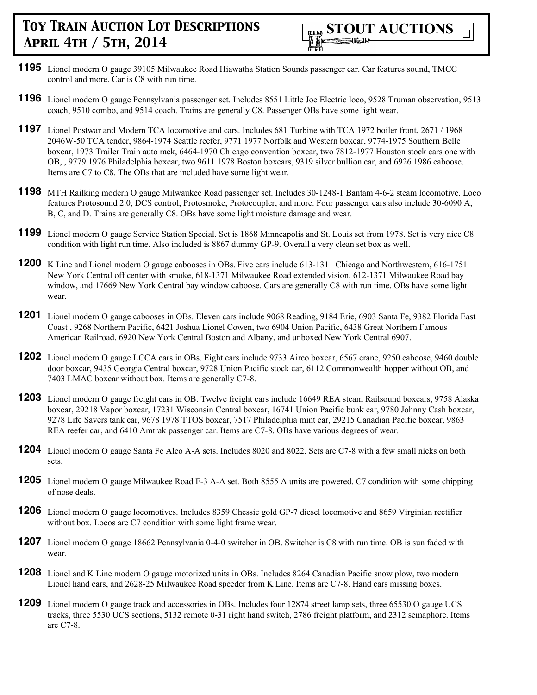- **1195** Lionel modern O gauge 39105 Milwaukee Road Hiawatha Station Sounds passenger car. Car features sound, TMCC control and more. Car is C8 with run time.
- **1196** Lionel modern O gauge Pennsylvania passenger set. Includes 8551 Little Joe Electric loco, 9528 Truman observation, 9513 coach, 9510 combo, and 9514 coach. Trains are generally C8. Passenger OBs have some light wear.
- **1197** Lionel Postwar and Modern TCA locomotive and cars. Includes 681 Turbine with TCA 1972 boiler front, 2671 / 1968 2046W-50 TCA tender, 9864-1974 Seattle reefer, 9771 1977 Norfolk and Western boxcar, 9774-1975 Southern Belle boxcar, 1973 Trailer Train auto rack, 6464-1970 Chicago convention boxcar, two 7812-1977 Houston stock cars one with OB, , 9779 1976 Philadelphia boxcar, two 9611 1978 Boston boxcars, 9319 silver bullion car, and 6926 1986 caboose. Items are C7 to C8. The OBs that are included have some light wear.
- **1198** MTH Railking modern O gauge Milwaukee Road passenger set. Includes 30-1248-1 Bantam 4-6-2 steam locomotive. Loco features Protosound 2.0, DCS control, Protosmoke, Protocoupler, and more. Four passenger cars also include 30-6090 A, B, C, and D. Trains are generally C8. OBs have some light moisture damage and wear.
- **1199** Lionel modern O gauge Service Station Special. Set is 1868 Minneapolis and St. Louis set from 1978. Set is very nice C8 condition with light run time. Also included is 8867 dummy GP-9. Overall a very clean set box as well.
- **1200** K Line and Lionel modern O gauge cabooses in OBs. Five cars include 613-1311 Chicago and Northwestern, 616-1751 New York Central off center with smoke, 618-1371 Milwaukee Road extended vision, 612-1371 Milwaukee Road bay window, and 17669 New York Central bay window caboose. Cars are generally C8 with run time. OBs have some light wear.
- **1201** Lionel modern O gauge cabooses in OBs. Eleven cars include 9068 Reading, 9184 Erie, 6903 Santa Fe, 9382 Florida East Coast , 9268 Northern Pacific, 6421 Joshua Lionel Cowen, two 6904 Union Pacific, 6438 Great Northern Famous American Railroad, 6920 New York Central Boston and Albany, and unboxed New York Central 6907.
- **1202** Lionel modern O gauge LCCA cars in OBs. Eight cars include 9733 Airco boxcar, 6567 crane, 9250 caboose, 9460 double door boxcar, 9435 Georgia Central boxcar, 9728 Union Pacific stock car, 6112 Commonwealth hopper without OB, and 7403 LMAC boxcar without box. Items are generally C7-8.
- **1203** Lionel modern O gauge freight cars in OB. Twelve freight cars include 16649 REA steam Railsound boxcars, 9758 Alaska boxcar, 29218 Vapor boxcar, 17231 Wisconsin Central boxcar, 16741 Union Pacific bunk car, 9780 Johnny Cash boxcar, 9278 Life Savers tank car, 9678 1978 TTOS boxcar, 7517 Philadelphia mint car, 29215 Canadian Pacific boxcar, 9863 REA reefer car, and 6410 Amtrak passenger car. Items are C7-8. OBs have various degrees of wear.
- **1204** Lionel modern O gauge Santa Fe Alco A-A sets. Includes 8020 and 8022. Sets are C7-8 with a few small nicks on both sets.
- **1205** Lionel modern O gauge Milwaukee Road F-3 A-A set. Both 8555 A units are powered. C7 condition with some chipping of nose deals.
- **1206** Lionel modern O gauge locomotives. Includes 8359 Chessie gold GP-7 diesel locomotive and 8659 Virginian rectifier without box. Locos are C7 condition with some light frame wear.
- **1207** Lionel modern O gauge 18662 Pennsylvania 0-4-0 switcher in OB. Switcher is C8 with run time. OB is sun faded with wear.
- **1208** Lionel and K Line modern O gauge motorized units in OBs. Includes 8264 Canadian Pacific snow plow, two modern Lionel hand cars, and 2628-25 Milwaukee Road speeder from K Line. Items are C7-8. Hand cars missing boxes.
- **1209** Lionel modern O gauge track and accessories in OBs. Includes four 12874 street lamp sets, three 65530 O gauge UCS tracks, three 5530 UCS sections, 5132 remote 0-31 right hand switch, 2786 freight platform, and 2312 semaphore. Items are C7-8.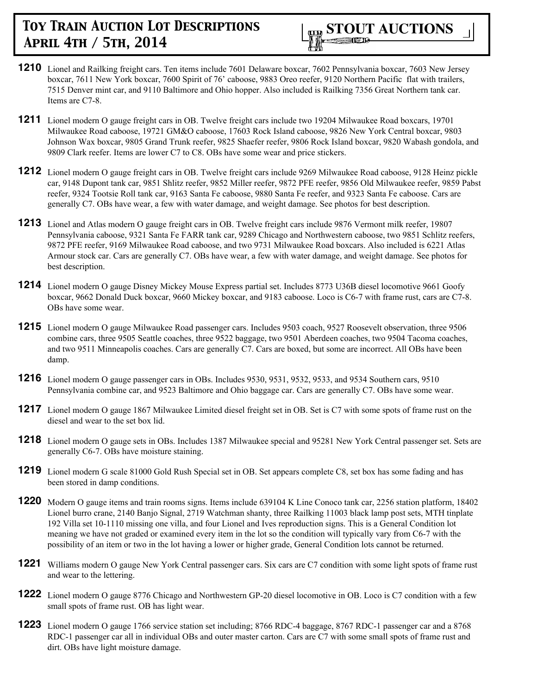

- **1210** Lionel and Railking freight cars. Ten items include 7601 Delaware boxcar, 7602 Pennsylvania boxcar, 7603 New Jersey boxcar, 7611 New York boxcar, 7600 Spirit of 76' caboose, 9883 Oreo reefer, 9120 Northern Pacific flat with trailers, 7515 Denver mint car, and 9110 Baltimore and Ohio hopper. Also included is Railking 7356 Great Northern tank car. Items are C7-8.
- **1211** Lionel modern O gauge freight cars in OB. Twelve freight cars include two 19204 Milwaukee Road boxcars, 19701 Milwaukee Road caboose, 19721 GM&O caboose, 17603 Rock Island caboose, 9826 New York Central boxcar, 9803 Johnson Wax boxcar, 9805 Grand Trunk reefer, 9825 Shaefer reefer, 9806 Rock Island boxcar, 9820 Wabash gondola, and 9809 Clark reefer. Items are lower C7 to C8. OBs have some wear and price stickers.
- **1212** Lionel modern O gauge freight cars in OB. Twelve freight cars include 9269 Milwaukee Road caboose, 9128 Heinz pickle car, 9148 Dupont tank car, 9851 Shlitz reefer, 9852 Miller reefer, 9872 PFE reefer, 9856 Old Milwaukee reefer, 9859 Pabst reefer, 9324 Tootsie Roll tank car, 9163 Santa Fe caboose, 9880 Santa Fe reefer, and 9323 Santa Fe caboose. Cars are generally C7. OBs have wear, a few with water damage, and weight damage. See photos for best description.
- **1213** Lionel and Atlas modern O gauge freight cars in OB. Twelve freight cars include 9876 Vermont milk reefer, 19807 Pennsylvania caboose, 9321 Santa Fe FARR tank car, 9289 Chicago and Northwestern caboose, two 9851 Schlitz reefers, 9872 PFE reefer, 9169 Milwaukee Road caboose, and two 9731 Milwaukee Road boxcars. Also included is 6221 Atlas Armour stock car. Cars are generally C7. OBs have wear, a few with water damage, and weight damage. See photos for best description.
- **1214** Lionel modern O gauge Disney Mickey Mouse Express partial set. Includes 8773 U36B diesel locomotive 9661 Goofy boxcar, 9662 Donald Duck boxcar, 9660 Mickey boxcar, and 9183 caboose. Loco is C6-7 with frame rust, cars are C7-8. OBs have some wear.
- **1215** Lionel modern O gauge Milwaukee Road passenger cars. Includes 9503 coach, 9527 Roosevelt observation, three 9506 combine cars, three 9505 Seattle coaches, three 9522 baggage, two 9501 Aberdeen coaches, two 9504 Tacoma coaches, and two 9511 Minneapolis coaches. Cars are generally C7. Cars are boxed, but some are incorrect. All OBs have been damp.
- **1216** Lionel modern O gauge passenger cars in OBs. Includes 9530, 9531, 9532, 9533, and 9534 Southern cars, 9510 Pennsylvania combine car, and 9523 Baltimore and Ohio baggage car. Cars are generally C7. OBs have some wear.
- **1217** Lionel modern O gauge 1867 Milwaukee Limited diesel freight set in OB. Set is C7 with some spots of frame rust on the diesel and wear to the set box lid.
- **1218** Lionel modern O gauge sets in OBs. Includes 1387 Milwaukee special and 95281 New York Central passenger set. Sets are generally C6-7. OBs have moisture staining.
- **1219** Lionel modern G scale 81000 Gold Rush Special set in OB. Set appears complete C8, set box has some fading and has been stored in damp conditions.
- **1220** Modern O gauge items and train rooms signs. Items include 639104 K Line Conoco tank car, 2256 station platform, 18402 Lionel burro crane, 2140 Banjo Signal, 2719 Watchman shanty, three Railking 11003 black lamp post sets, MTH tinplate 192 Villa set 10-1110 missing one villa, and four Lionel and Ives reproduction signs. This is a General Condition lot meaning we have not graded or examined every item in the lot so the condition will typically vary from C6-7 with the possibility of an item or two in the lot having a lower or higher grade, General Condition lots cannot be returned.
- **1221** Williams modern O gauge New York Central passenger cars. Six cars are C7 condition with some light spots of frame rust and wear to the lettering.
- **1222** Lionel modern O gauge 8776 Chicago and Northwestern GP-20 diesel locomotive in OB. Loco is C7 condition with a few small spots of frame rust. OB has light wear.
- **1223** Lionel modern O gauge 1766 service station set including; 8766 RDC-4 baggage, 8767 RDC-1 passenger car and a 8768 RDC-1 passenger car all in individual OBs and outer master carton. Cars are C7 with some small spots of frame rust and dirt. OBs have light moisture damage.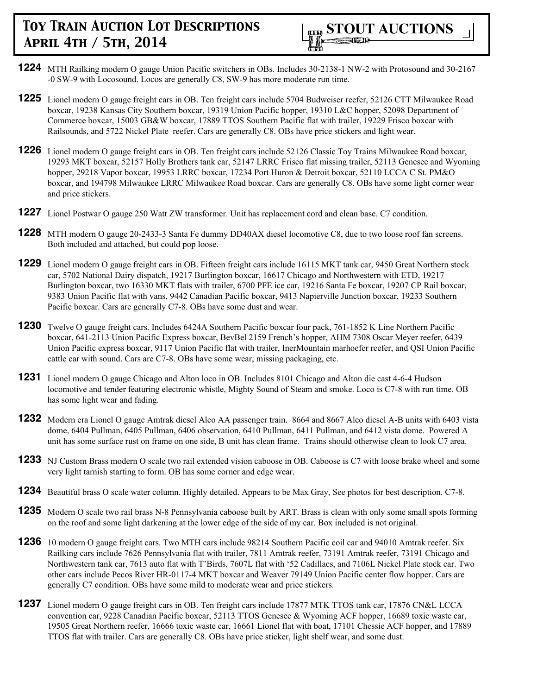

- **1224** MTH Railking modern O gauge Union Pacific switchers in OBs. Includes 30-2138-1 NW-2 with Protosound and 30-2167 -0 SW-9 with Locosound. Locos are generally C8, SW-9 has more moderate run time.
- **1225** Lionel modern O gauge freight cars in OB. Ten freight cars include 5704 Budweiser reefer, 52126 CTT Milwaukee Road boxcar, 19238 Kansas City Southern boxcar, 19319 Union Pacific hopper, 19310 L&C hopper, 52098 Department of Commerce boxcar, 15003 GB&W boxcar, 17889 TTOS Southern Pacific flat with trailer, 19229 Frisco boxcar with Railsounds, and 5722 Nickel Plate reefer. Cars are generally C8. OBs have price stickers and light wear.
- **1226** Lionel modern O gauge freight cars in OB. Ten freight cars include 52126 Classic Toy Trains Milwaukee Road boxcar, 19293 MKT boxcar, 52157 Holly Brothers tank car, 52147 LRRC Frisco flat missing trailer, 52113 Genesee and Wyoming hopper, 29218 Vapor boxcar, 19953 LRRC boxcar, 17234 Port Huron & Detroit boxcar, 52110 LCCA C St. PM&O boxcar, and 194798 Milwaukee LRRC Milwaukee Road boxcar. Cars are generally C8. OBs have some light corner wear and price stickers.
- **1227** Lionel Postwar O gauge 250 Watt ZW transformer. Unit has replacement cord and clean base. C7 condition.
- **1228** MTH modern O gauge 20-2433-3 Santa Fe dummy DD40AX diesel locomotive C8, due to two loose roof fan screens. Both included and attached, but could pop loose.
- **1229** Lionel modern O gauge freight cars in OB. Fifteen freight cars include 16115 MKT tank car, 9450 Great Northern stock car, 5702 National Dairy dispatch, 19217 Burlington boxcar, 16617 Chicago and Northwestern with ETD, 19217 Burlington boxcar, two 16330 MKT flats with trailer, 6700 PFE ice car, 19216 Santa Fe boxcar, 19207 CP Rail boxcar, 9383 Union Pacific flat with vans, 9442 Canadian Pacific boxcar, 9413 Napierville Junction boxcar, 19233 Southern Pacific boxcar. Cars are generally C7-8. OBs have some dust and wear.
- **1230** Twelve O gauge freight cars. Includes 6424A Southern Pacific boxcar four pack, 761-1852 K Line Northern Pacific boxcar, 641-2113 Union Pacific Express boxcar, BevBel 2159 French's hopper, AHM 7308 Oscar Meyer reefer, 6439 Union Pacific express boxcar, 9117 Union Pacific flat with trailer, InerMountain marhoefer reefer, and QSI Union Pacific cattle car with sound. Cars are C7-8. OBs have some wear, missing packaging, etc.
- **1231** Lionel modern O gauge Chicago and Alton loco in OB. Includes 8101 Chicago and Alton die cast 4-6-4 Hudson locomotive and tender featuring electronic whistle, Mighty Sound of Steam and smoke. Loco is C7-8 with run time. OB has some light wear and fading.
- **1232** Modern era Lionel O gauge Amtrak diesel Alco AA passenger train. 8664 and 8667 Alco diesel A-B units with 6403 vista dome, 6404 Pullman, 6405 Pullman, 6406 observation, 6410 Pullman, 6411 Pullman, and 6412 vista dome. Powered A unit has some surface rust on frame on one side, B unit has clean frame. Trains should otherwise clean to look C7 area.
- **1233** NJ Custom Brass modern O scale two rail extended vision caboose in OB. Caboose is C7 with loose brake wheel and some very light tarnish starting to form. OB has some corner and edge wear.
- **1234** Beautiful brass O scale water column. Highly detailed. Appears to be Max Gray, See photos for best description. C7-8.
- **1235** Modern O scale two rail brass N-8 Pennsylvania caboose built by ART. Brass is clean with only some small spots forming on the roof and some light darkening at the lower edge of the side of my car. Box included is not original.
- **1236** 10 modern O gauge freight cars. Two MTH cars include 98214 Southern Pacific coil car and 94010 Amtrak reefer. Six Railking cars include 7626 Pennsylvania flat with trailer, 7811 Amtrak reefer, 73191 Amtrak reefer, 73191 Chicago and Northwestern tank car, 7613 auto flat with T'Birds, 7607L flat with '52 Cadillacs, and 7106L Nickel Plate stock car. Two other cars include Pecos River HR-0117-4 MKT boxcar and Weaver 79149 Union Pacific center flow hopper. Cars are generally C7 condition. OBs have some mild to moderate wear and price stickers.
- **1237** Lionel modern O gauge freight cars in OB. Ten freight cars include 17877 MTK TTOS tank car, 17876 CN&L LCCA convention car, 9228 Canadian Pacific boxcar, 52113 TTOS Genesee & Wyoming ACF hopper, 16689 toxic waste car, 19505 Great Northern reefer, 16666 toxic waste car, 16661 Lionel flat with boat, 17101 Chessie ACF hopper, and 17889 TTOS flat with trailer. Cars are generally C8. OBs have price sticker, light shelf wear, and some dust.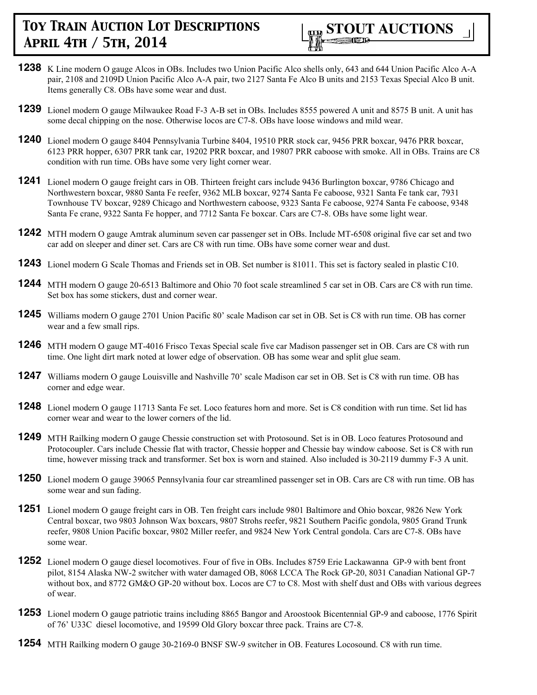

- **1238** K Line modern O gauge Alcos in OBs. Includes two Union Pacific Alco shells only, 643 and 644 Union Pacific Alco A-A pair, 2108 and 2109D Union Pacific Alco A-A pair, two 2127 Santa Fe Alco B units and 2153 Texas Special Alco B unit. Items generally C8. OBs have some wear and dust.
- **1239** Lionel modern O gauge Milwaukee Road F-3 A-B set in OBs. Includes 8555 powered A unit and 8575 B unit. A unit has some decal chipping on the nose. Otherwise locos are C7-8. OBs have loose windows and mild wear.
- **1240** Lionel modern O gauge 8404 Pennsylvania Turbine 8404, 19510 PRR stock car, 9456 PRR boxcar, 9476 PRR boxcar, 6123 PRR hopper, 6307 PRR tank car, 19202 PRR boxcar, and 19807 PRR caboose with smoke. All in OBs. Trains are C8 condition with run time. OBs have some very light corner wear.
- **1241** Lionel modern O gauge freight cars in OB. Thirteen freight cars include 9436 Burlington boxcar, 9786 Chicago and Northwestern boxcar, 9880 Santa Fe reefer, 9362 MLB boxcar, 9274 Santa Fe caboose, 9321 Santa Fe tank car, 7931 Townhouse TV boxcar, 9289 Chicago and Northwestern caboose, 9323 Santa Fe caboose, 9274 Santa Fe caboose, 9348 Santa Fe crane, 9322 Santa Fe hopper, and 7712 Santa Fe boxcar. Cars are C7-8. OBs have some light wear.
- **1242** MTH modern O gauge Amtrak aluminum seven car passenger set in OBs. Include MT-6508 original five car set and two car add on sleeper and diner set. Cars are C8 with run time. OBs have some corner wear and dust.
- **1243** Lionel modern G Scale Thomas and Friends set in OB. Set number is 81011. This set is factory sealed in plastic C10.
- **1244** MTH modern O gauge 20-6513 Baltimore and Ohio 70 foot scale streamlined 5 car set in OB. Cars are C8 with run time. Set box has some stickers, dust and corner wear.
- **1245** Williams modern O gauge 2701 Union Pacific 80' scale Madison car set in OB. Set is C8 with run time. OB has corner wear and a few small rips.
- **1246** MTH modern O gauge MT-4016 Frisco Texas Special scale five car Madison passenger set in OB. Cars are C8 with run time. One light dirt mark noted at lower edge of observation. OB has some wear and split glue seam.
- **1247** Williams modern O gauge Louisville and Nashville 70' scale Madison car set in OB. Set is C8 with run time. OB has corner and edge wear.
- **1248** Lionel modern O gauge 11713 Santa Fe set. Loco features horn and more. Set is C8 condition with run time. Set lid has corner wear and wear to the lower corners of the lid.
- **1249** MTH Railking modern O gauge Chessie construction set with Protosound. Set is in OB. Loco features Protosound and Protocoupler. Cars include Chessie flat with tractor, Chessie hopper and Chessie bay window caboose. Set is C8 with run time, however missing track and transformer. Set box is worn and stained. Also included is 30-2119 dummy F-3 A unit.
- **1250** Lionel modern O gauge 39065 Pennsylvania four car streamlined passenger set in OB. Cars are C8 with run time. OB has some wear and sun fading.
- **1251** Lionel modern O gauge freight cars in OB. Ten freight cars include 9801 Baltimore and Ohio boxcar, 9826 New York Central boxcar, two 9803 Johnson Wax boxcars, 9807 Strohs reefer, 9821 Southern Pacific gondola, 9805 Grand Trunk reefer, 9808 Union Pacific boxcar, 9802 Miller reefer, and 9824 New York Central gondola. Cars are C7-8. OBs have some wear.
- **1252** Lionel modern O gauge diesel locomotives. Four of five in OBs. Includes 8759 Erie Lackawanna GP-9 with bent front pilot, 8154 Alaska NW-2 switcher with water damaged OB, 8068 LCCA The Rock GP-20, 8031 Canadian National GP-7 without box, and 8772 GM&O GP-20 without box. Locos are C7 to C8. Most with shelf dust and OBs with various degrees of wear.
- **1253** Lionel modern O gauge patriotic trains including 8865 Bangor and Aroostook Bicentennial GP-9 and caboose, 1776 Spirit of 76' U33C diesel locomotive, and 19599 Old Glory boxcar three pack. Trains are C7-8.
- **1254** MTH Railking modern O gauge 30-2169-0 BNSF SW-9 switcher in OB. Features Locosound. C8 with run time.